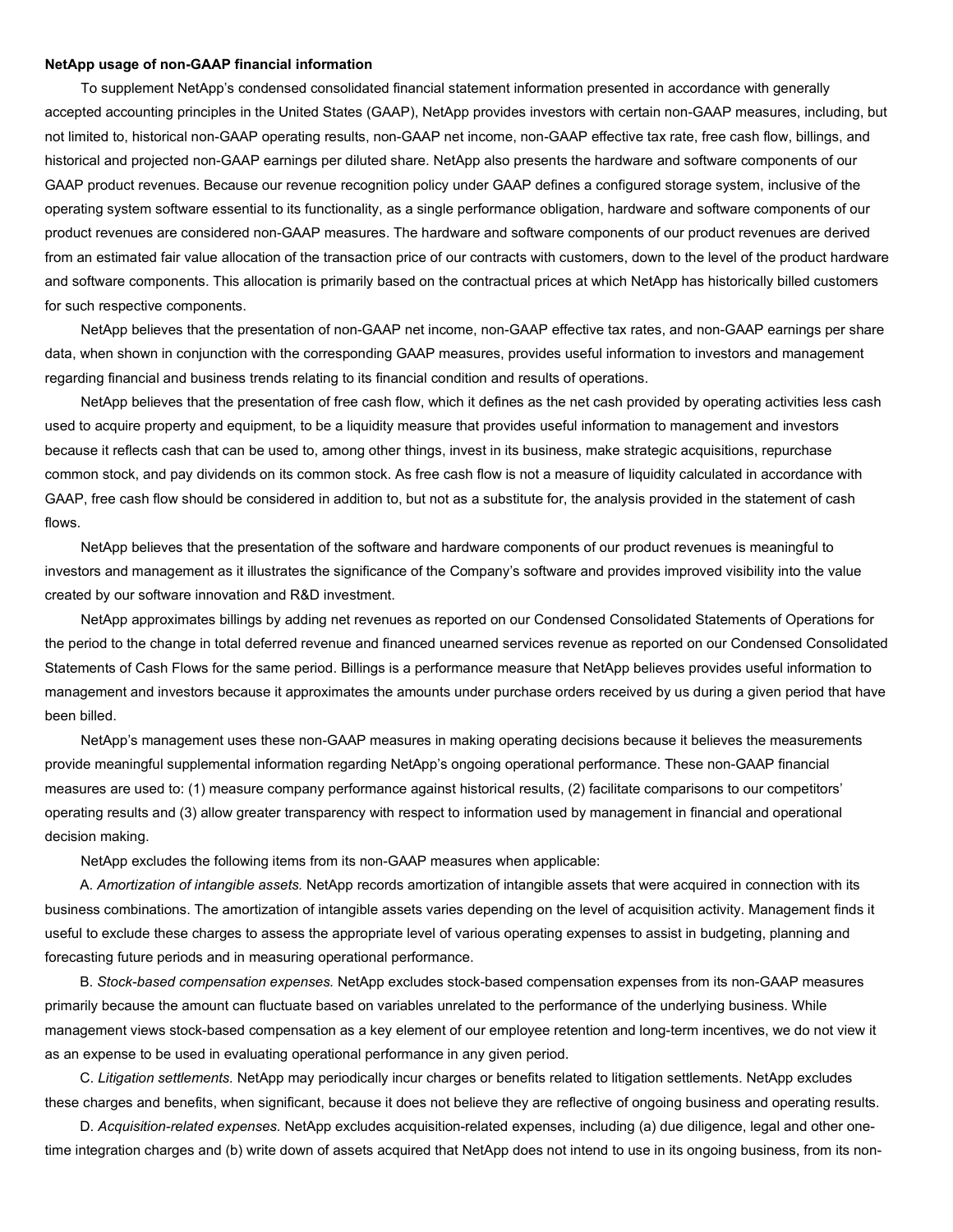#### **NetApp usage of non-GAAP financial information**

To supplement NetApp's condensed consolidated financial statement information presented in accordance with generally accepted accounting principles in the United States (GAAP), NetApp provides investors with certain non-GAAP measures, including, but not limited to, historical non-GAAP operating results, non-GAAP net income, non-GAAP effective tax rate, free cash flow, billings, and historical and projected non-GAAP earnings per diluted share. NetApp also presents the hardware and software components of our GAAP product revenues. Because our revenue recognition policy under GAAP defines a configured storage system, inclusive of the operating system software essential to its functionality, as a single performance obligation, hardware and software components of our product revenues are considered non-GAAP measures. The hardware and software components of our product revenues are derived from an estimated fair value allocation of the transaction price of our contracts with customers, down to the level of the product hardware and software components. This allocation is primarily based on the contractual prices at which NetApp has historically billed customers for such respective components.

NetApp believes that the presentation of non-GAAP net income, non-GAAP effective tax rates, and non-GAAP earnings per share data, when shown in conjunction with the corresponding GAAP measures, provides useful information to investors and management regarding financial and business trends relating to its financial condition and results of operations.

NetApp believes that the presentation of free cash flow, which it defines as the net cash provided by operating activities less cash used to acquire property and equipment, to be a liquidity measure that provides useful information to management and investors because it reflects cash that can be used to, among other things, invest in its business, make strategic acquisitions, repurchase common stock, and pay dividends on its common stock. As free cash flow is not a measure of liquidity calculated in accordance with GAAP, free cash flow should be considered in addition to, but not as a substitute for, the analysis provided in the statement of cash flows.

NetApp believes that the presentation of the software and hardware components of our product revenues is meaningful to investors and management as it illustrates the significance of the Company's software and provides improved visibility into the value created by our software innovation and R&D investment.

NetApp approximates billings by adding net revenues as reported on our Condensed Consolidated Statements of Operations for the period to the change in total deferred revenue and financed unearned services revenue as reported on our Condensed Consolidated Statements of Cash Flows for the same period. Billings is a performance measure that NetApp believes provides useful information to management and investors because it approximates the amounts under purchase orders received by us during a given period that have been billed.

NetApp's management uses these non-GAAP measures in making operating decisions because it believes the measurements provide meaningful supplemental information regarding NetApp's ongoing operational performance. These non-GAAP financial measures are used to: (1) measure company performance against historical results, (2) facilitate comparisons to our competitors' operating results and (3) allow greater transparency with respect to information used by management in financial and operational decision making.

NetApp excludes the following items from its non-GAAP measures when applicable:

A. *Amortization of intangible assets.* NetApp records amortization of intangible assets that were acquired in connection with its business combinations. The amortization of intangible assets varies depending on the level of acquisition activity. Management finds it useful to exclude these charges to assess the appropriate level of various operating expenses to assist in budgeting, planning and forecasting future periods and in measuring operational performance.

B. *Stock-based compensation expenses.* NetApp excludes stock-based compensation expenses from its non-GAAP measures primarily because the amount can fluctuate based on variables unrelated to the performance of the underlying business. While management views stock-based compensation as a key element of our employee retention and long-term incentives, we do not view it as an expense to be used in evaluating operational performance in any given period.

C. *Litigation settlements.* NetApp may periodically incur charges or benefits related to litigation settlements. NetApp excludes these charges and benefits, when significant, because it does not believe they are reflective of ongoing business and operating results.

D. *Acquisition-related expenses.* NetApp excludes acquisition-related expenses, including (a) due diligence, legal and other onetime integration charges and (b) write down of assets acquired that NetApp does not intend to use in its ongoing business, from its non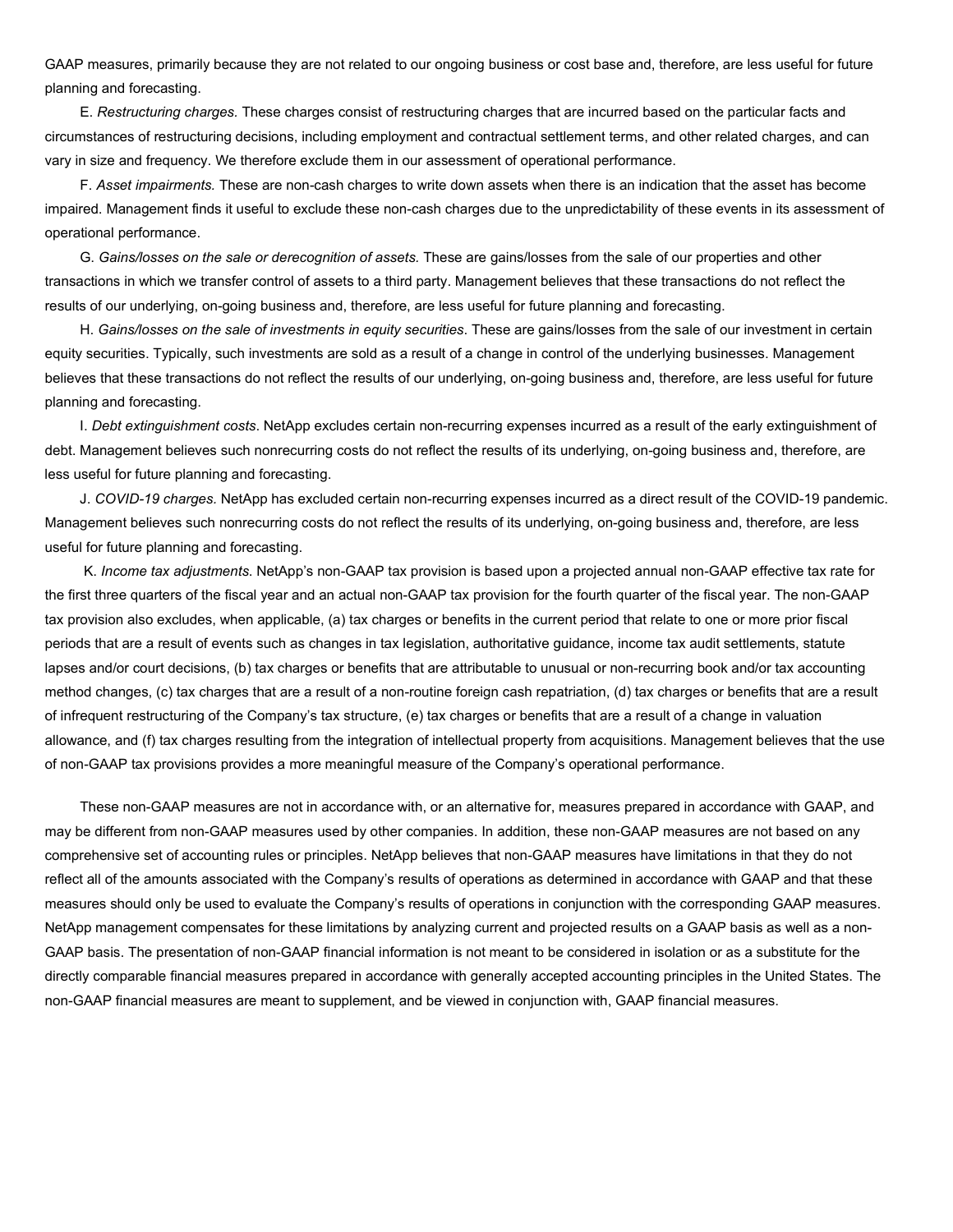GAAP measures, primarily because they are not related to our ongoing business or cost base and, therefore, are less useful for future planning and forecasting.

E. *Restructuring charges.* These charges consist of restructuring charges that are incurred based on the particular facts and circumstances of restructuring decisions, including employment and contractual settlement terms, and other related charges, and can vary in size and frequency. We therefore exclude them in our assessment of operational performance.

F. *Asset impairments.* These are non-cash charges to write down assets when there is an indication that the asset has become impaired. Management finds it useful to exclude these non-cash charges due to the unpredictability of these events in its assessment of operational performance.

G. *Gains/losses on the sale or derecognition of assets.* These are gains/losses from the sale of our properties and other transactions in which we transfer control of assets to a third party. Management believes that these transactions do not reflect the results of our underlying, on-going business and, therefore, are less useful for future planning and forecasting.

H. *Gains/losses on the sale of investments in equity securities*. These are gains/losses from the sale of our investment in certain equity securities. Typically, such investments are sold as a result of a change in control of the underlying businesses. Management believes that these transactions do not reflect the results of our underlying, on-going business and, therefore, are less useful for future planning and forecasting.

I. *Debt extinguishment costs*. NetApp excludes certain non-recurring expenses incurred as a result of the early extinguishment of debt. Management believes such nonrecurring costs do not reflect the results of its underlying, on-going business and, therefore, are less useful for future planning and forecasting.

J. *COVID-19 charges.* NetApp has excluded certain non-recurring expenses incurred as a direct result of the COVID-19 pandemic. Management believes such nonrecurring costs do not reflect the results of its underlying, on-going business and, therefore, are less useful for future planning and forecasting.

K. *Income tax adjustments*. NetApp's non-GAAP tax provision is based upon a projected annual non-GAAP effective tax rate for the first three quarters of the fiscal year and an actual non-GAAP tax provision for the fourth quarter of the fiscal year. The non-GAAP tax provision also excludes, when applicable, (a) tax charges or benefits in the current period that relate to one or more prior fiscal periods that are a result of events such as changes in tax legislation, authoritative guidance, income tax audit settlements, statute lapses and/or court decisions, (b) tax charges or benefits that are attributable to unusual or non-recurring book and/or tax accounting method changes, (c) tax charges that are a result of a non-routine foreign cash repatriation, (d) tax charges or benefits that are a result of infrequent restructuring of the Company's tax structure, (e) tax charges or benefits that are a result of a change in valuation allowance, and (f) tax charges resulting from the integration of intellectual property from acquisitions. Management believes that the use of non-GAAP tax provisions provides a more meaningful measure of the Company's operational performance.

These non-GAAP measures are not in accordance with, or an alternative for, measures prepared in accordance with GAAP, and may be different from non-GAAP measures used by other companies. In addition, these non-GAAP measures are not based on any comprehensive set of accounting rules or principles. NetApp believes that non-GAAP measures have limitations in that they do not reflect all of the amounts associated with the Company's results of operations as determined in accordance with GAAP and that these measures should only be used to evaluate the Company's results of operations in conjunction with the corresponding GAAP measures. NetApp management compensates for these limitations by analyzing current and projected results on a GAAP basis as well as a non-GAAP basis. The presentation of non-GAAP financial information is not meant to be considered in isolation or as a substitute for the directly comparable financial measures prepared in accordance with generally accepted accounting principles in the United States. The non-GAAP financial measures are meant to supplement, and be viewed in conjunction with, GAAP financial measures.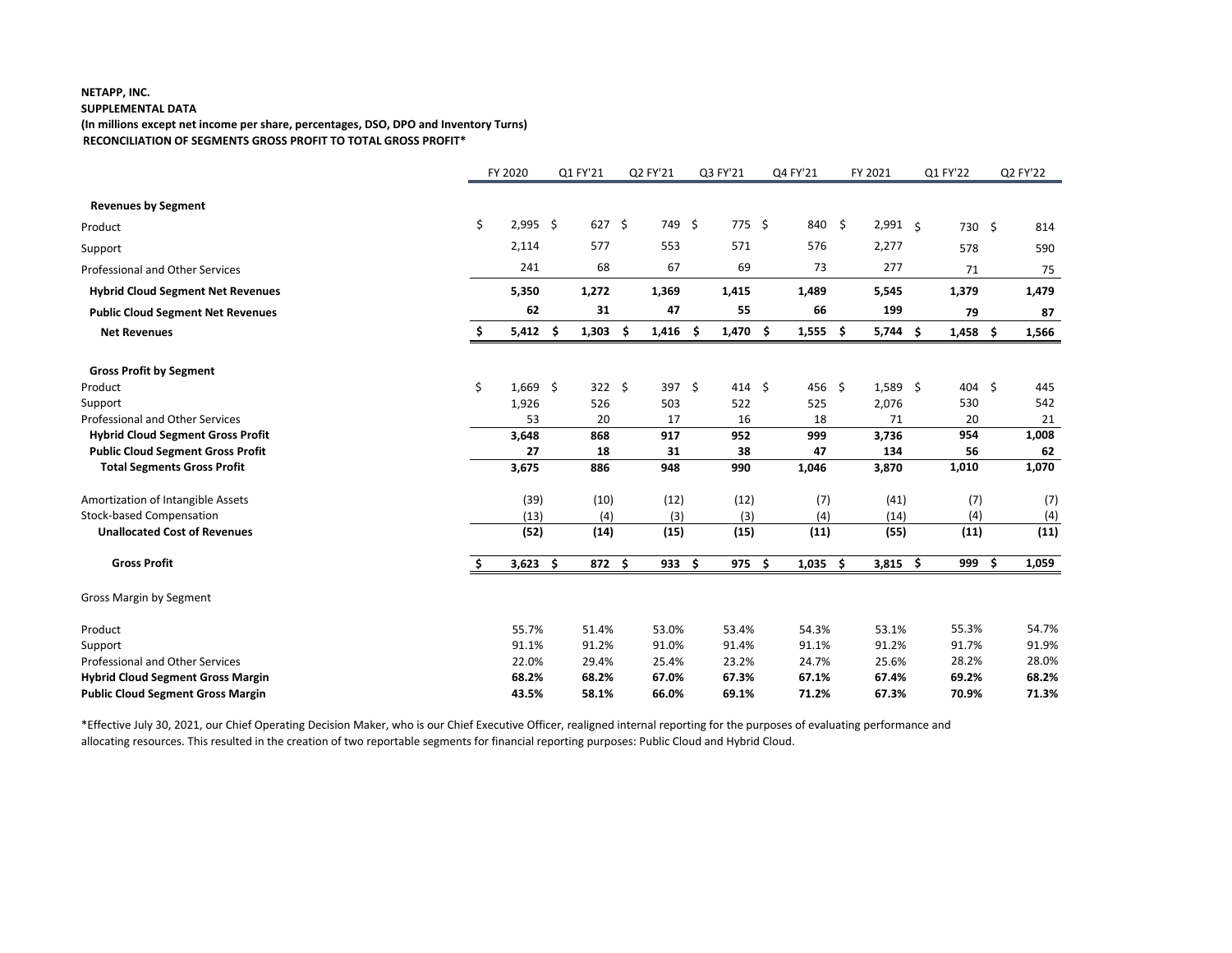# **NETAPP, INC.**

#### **SUPPLEMENTAL DATA**

**(In millions except net income per share, percentages, DSO, DPO and Inventory Turns) RECONCILIATION OF SEGMENTS GROSS PROFIT TO TOTAL GROSS PROFIT\***

|                                          | FY 2020          | Q1 FY'21      |     | Q2 FY'21 |    | Q3 FY'21          | Q4 FY'21         |     | FY 2021    | Q1 FY'22   | Q2 FY'22 |
|------------------------------------------|------------------|---------------|-----|----------|----|-------------------|------------------|-----|------------|------------|----------|
|                                          |                  |               |     |          |    |                   |                  |     |            |            |          |
| <b>Revenues by Segment</b>               |                  |               |     |          |    |                   |                  |     |            |            |          |
| Product                                  | \$<br>$2,995$ \$ | $627$ \$      |     | 749 \$   |    | $775$ \$          | 840 \$           |     | $2,991$ \$ | 730 \$     | 814      |
| Support                                  | 2,114            | 577           |     | 553      |    | 571               | 576              |     | 2,277      | 578        | 590      |
| Professional and Other Services          | 241              | 68            |     | 67       |    | 69                | 73               |     | 277        | 71         | 75       |
| <b>Hybrid Cloud Segment Net Revenues</b> | 5,350            | 1,272         |     | 1,369    |    | 1,415             | 1,489            |     | 5,545      | 1,379      | 1,479    |
| <b>Public Cloud Segment Net Revenues</b> | 62               | 31            |     | 47       |    | 55                | 66               |     | 199        | 79         | 87       |
| <b>Net Revenues</b>                      | \$<br>$5,412$ \$ | 1,303         | -\$ | 1,416    | .s | 1,470             | \$<br>$1,555$ \$ |     | $5,744$ \$ | $1,458$ \$ | 1,566    |
| <b>Gross Profit by Segment</b>           |                  |               |     |          |    |                   |                  |     |            |            |          |
| Product                                  | \$<br>$1,669$ \$ | $322 \div$    |     | 397 \$   |    | $414 \; \text{S}$ | 456 \$           |     | $1,589$ \$ | 404 \$     | 445      |
| Support                                  | 1,926            | 526           |     | 503      |    | 522               | 525              |     | 2,076      | 530        | 542      |
| Professional and Other Services          | 53               | 20            |     | 17       |    | 16                | 18               |     | 71         | 20         | 21       |
| <b>Hybrid Cloud Segment Gross Profit</b> | 3,648            | 868           |     | 917      |    | 952               | 999              |     | 3,736      | 954        | 1,008    |
| <b>Public Cloud Segment Gross Profit</b> | 27               | 18            |     | 31       |    | 38                | 47               |     | 134        | 56         | 62       |
| <b>Total Segments Gross Profit</b>       | 3,675            | 886           |     | 948      |    | 990               | 1,046            |     | 3,870      | 1,010      | 1,070    |
| Amortization of Intangible Assets        | (39)             | (10)          |     | (12)     |    | (12)              | (7)              |     | (41)       | (7)        | (7)      |
| <b>Stock-based Compensation</b>          | (13)             | (4)           |     | (3)      |    | (3)               | (4)              |     | (14)       | (4)        | (4)      |
| <b>Unallocated Cost of Revenues</b>      | (52)             | (14)          |     | (15)     |    | (15)              | (11)             |     | (55)       | (11)       | (11)     |
| <b>Gross Profit</b>                      | $3,623$ \$       | $872 \quad $$ |     | 933      | \$ | 975               | \$<br>1,035      | -\$ | $3,815$ \$ | 999 \$     | 1,059    |
| Gross Margin by Segment                  |                  |               |     |          |    |                   |                  |     |            |            |          |
| Product                                  | 55.7%            | 51.4%         |     | 53.0%    |    | 53.4%             | 54.3%            |     | 53.1%      | 55.3%      | 54.7%    |
| Support                                  | 91.1%            | 91.2%         |     | 91.0%    |    | 91.4%             | 91.1%            |     | 91.2%      | 91.7%      | 91.9%    |
| Professional and Other Services          | 22.0%            | 29.4%         |     | 25.4%    |    | 23.2%             | 24.7%            |     | 25.6%      | 28.2%      | 28.0%    |
| <b>Hybrid Cloud Segment Gross Margin</b> | 68.2%            | 68.2%         |     | 67.0%    |    | 67.3%             | 67.1%            |     | 67.4%      | 69.2%      | 68.2%    |
| <b>Public Cloud Segment Gross Margin</b> | 43.5%            | 58.1%         |     | 66.0%    |    | 69.1%             | 71.2%            |     | 67.3%      | 70.9%      | 71.3%    |

\*Effective July 30, 2021, our Chief Operating Decision Maker, who is our Chief Executive Officer, realigned internal reporting for the purposes of evaluating performance and allocating resources. This resulted in the creation of two reportable segments for financial reporting purposes: Public Cloud and Hybrid Cloud.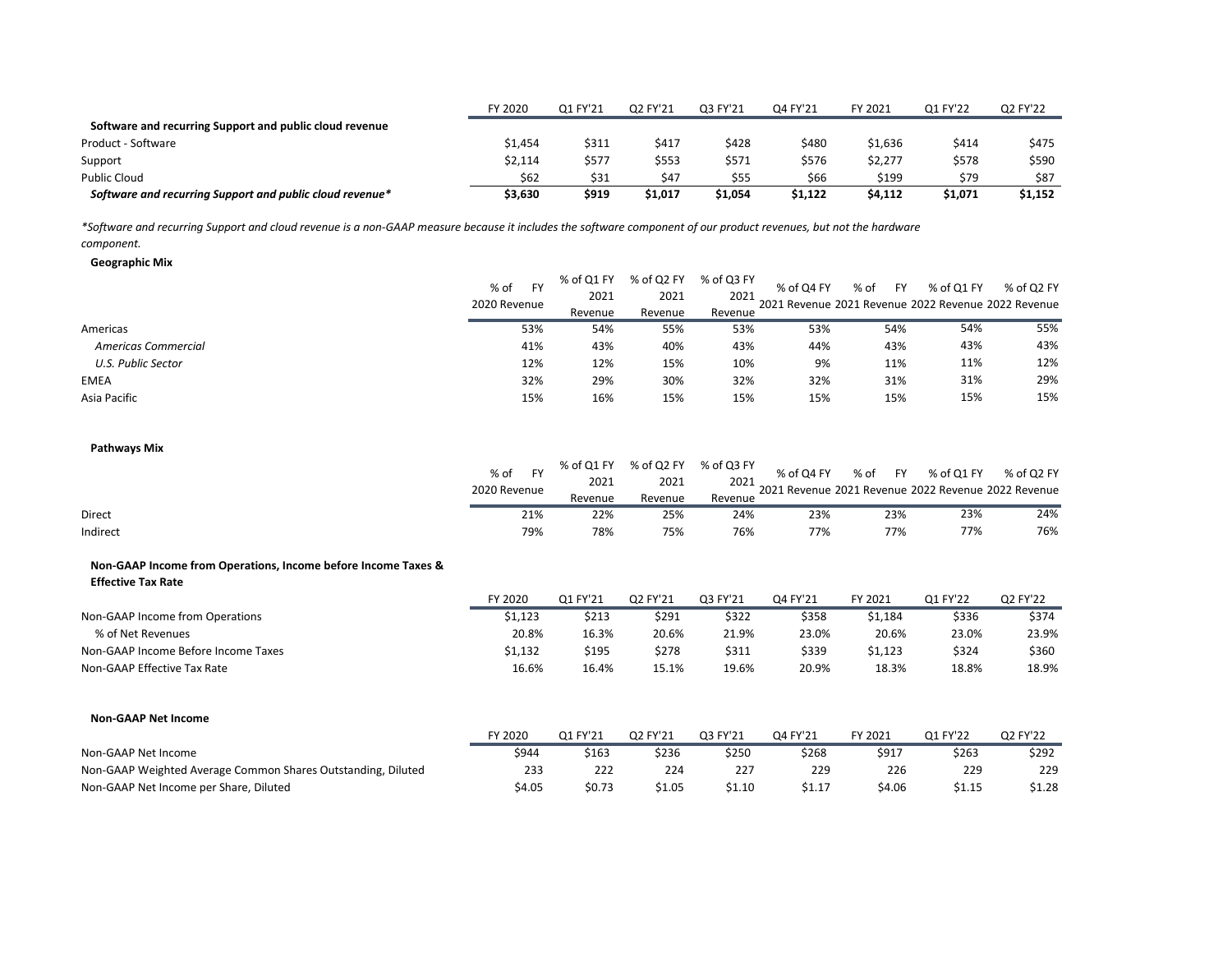|                                                          | FY 2020 | Q1 FY'21 | Q2 FY'21 | Q3 FY'21 | Q4 FY'21 | FY 2021 | Q1 FY'22 | Q2 FY'22 |
|----------------------------------------------------------|---------|----------|----------|----------|----------|---------|----------|----------|
| Software and recurring Support and public cloud revenue  |         |          |          |          |          |         |          |          |
| Product - Software                                       | \$1,454 | \$311    | \$417    | \$428    | \$480    | \$1,636 | \$414    | \$475    |
| Support                                                  | \$2,114 | \$577    | \$553    | \$571    | \$576    | \$2,277 | \$578    | \$590    |
| Public Cloud                                             | \$62    | \$31     | \$47     | \$55     | \$66     | \$199   | \$79     | \$87     |
| Software and recurring Support and public cloud revenue* | \$3,630 | \$919    | \$1,017  | \$1,054  | \$1,122  | \$4,112 | \$1,071  | \$1,152  |

*\*Software and recurring Support and cloud revenue is a non-GAAP measure because it includes the software component of our product revenues, but not the hardware component.*

#### **Geographic Mix**

|                     | % of<br>FY<br>2020 Revenue | % of Q1 FY<br>2021 | % of Q2 FY<br>2021 | % of Q3 FY<br>2021 | % of Q4 FY | % of<br><b>FY</b> | % of Q1 FY | % of Q2 FY<br>2021 Revenue 2021 Revenue 2022 Revenue 2022 Revenue |
|---------------------|----------------------------|--------------------|--------------------|--------------------|------------|-------------------|------------|-------------------------------------------------------------------|
|                     |                            | Revenue            | Revenue            | Revenue            |            |                   |            |                                                                   |
| Americas            | 53%                        | 54%                | 55%                | 53%                | 53%        | 54%               | 54%        | 55%                                                               |
| Americas Commercial | 41%                        | 43%                | 40%                | 43%                | 44%        | 43%               | 43%        | 43%                                                               |
| U.S. Public Sector  | 12%                        | 12%                | 15%                | 10%                | 9%         | 11%               | 11%        | 12%                                                               |
| EMEA                | 32%                        | 29%                | 30%                | 32%                | 32%        | 31%               | 31%        | 29%                                                               |
| Asia Pacific        | 15%                        | 16%                | 15%                | 15%                | 15%        | 15%               | 15%        | 15%                                                               |

#### **Pathways Mix**

|          | % of<br>EV   | % of Q1 FY<br>2021 | % of Q2 FY<br>2021 | % of Q3 FY<br>2021 | % of Q4 FY | % of | <b>FY</b><br>% of Q1 FY                             | % of Q2 FY |
|----------|--------------|--------------------|--------------------|--------------------|------------|------|-----------------------------------------------------|------------|
|          | 2020 Revenue | Revenue            | Revenue            | Revenue            |            |      | 2021 Revenue 2021 Revenue 2022 Revenue 2022 Revenue |            |
| Direct   | 21%          | 22%                | 25%                | 24%                | 23%        |      | 23%<br>23%                                          | 24%        |
| Indirect | 79%          | 78%                | 75%                | 76%                | 77%        |      | 77%<br>77%                                          | 76%        |

# **Non-GAAP Income from Operations, Income before Income Taxes &**

**Effective Tax Rate**

|                                     | FY 2020 | Q1 FY'21 | Q2 FY'21 | Q3 FY'21 | Q4 FY'21 | FY 2021 | Q1 FY'22 | Q2 FY'22 |
|-------------------------------------|---------|----------|----------|----------|----------|---------|----------|----------|
| Non-GAAP Income from Operations     | \$1.123 | \$213    | \$291    | \$322    | \$358    | \$1,184 | \$336    | \$374    |
| % of Net Revenues                   | 20.8%   | 16.3%    | 20.6%    | 21.9%    | 23.0%    | 20.6%   | 23.0%    | 23.9%    |
| Non-GAAP Income Before Income Taxes | \$1,132 | \$195    | \$278    | \$311    | \$339    | \$1,123 | \$324    | \$360    |
| Non-GAAP Effective Tax Rate         | 16.6%   | 16.4%    | 15.1%    | 19.6%    | 20.9%    | 18.3%   | 18.8%    | 18.9%    |

#### **Non-GAAP Net Income**

|                                                              | FY 2020 | Q1 FY'21 | Q2 FY'21 | Q3 FY'21 | O4 FY'21 | FY 2021 | Q1 FY'22 | Q2 FY'22 |
|--------------------------------------------------------------|---------|----------|----------|----------|----------|---------|----------|----------|
| Non-GAAP Net Income                                          | \$944   | \$163    | \$236    | \$250    | \$268    | \$917   | \$263    | \$292    |
| Non-GAAP Weighted Average Common Shares Outstanding, Diluted | 233     | 222      | 224      | 227      | 229      | 226     | 229      | 229      |
| Non-GAAP Net Income per Share, Diluted                       | \$4.05  |          | \$1.05   | \$1.10   | \$1.17   | \$4.06  | \$1.15   | \$1.28   |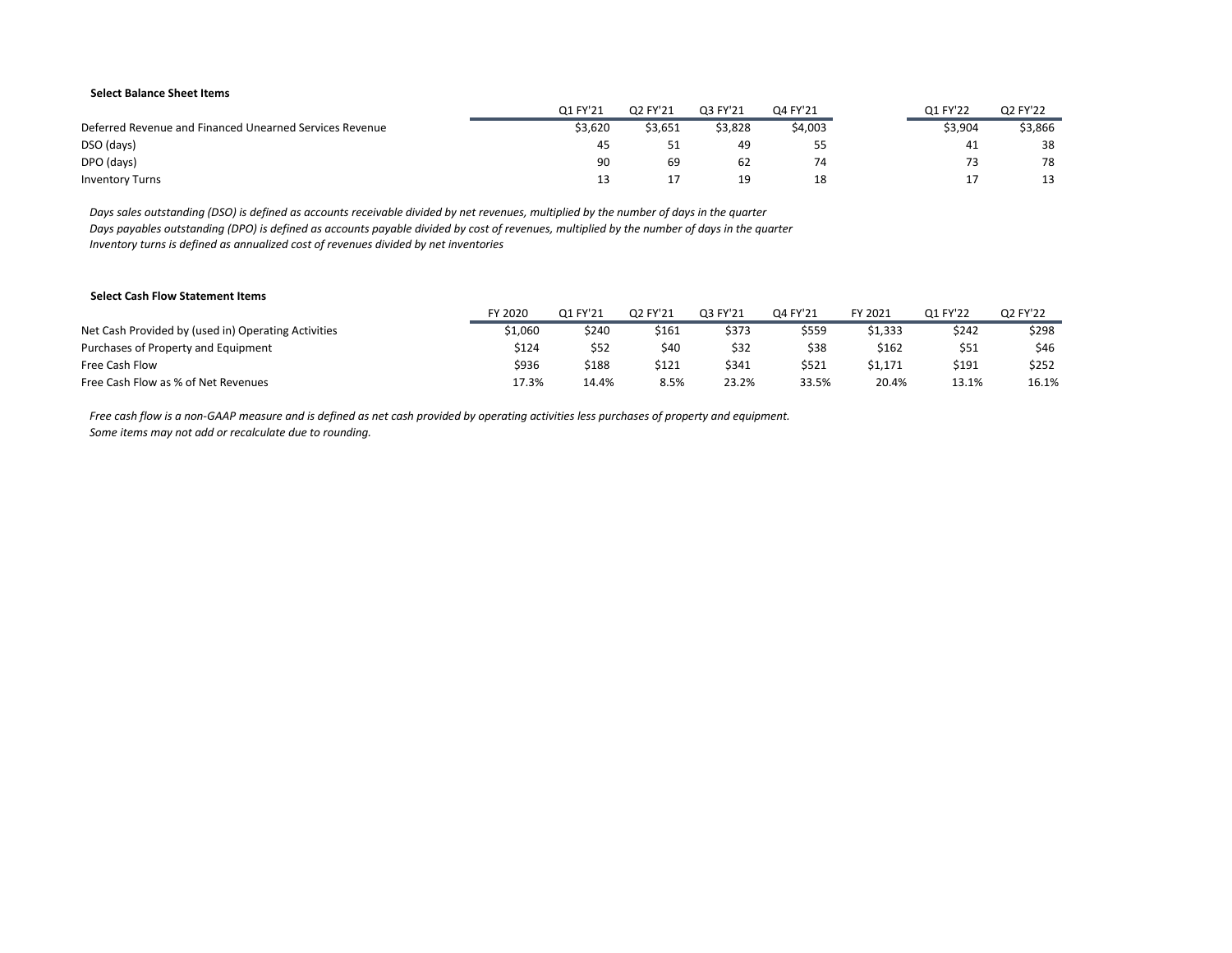#### **Select Balance Sheet Items**

|                                                         | Q1 FY'21 | Q2 FY'21 | Q3 FY'21 | Q4 FY'21 | Q1 FY'22 | Q2 FY'22 |
|---------------------------------------------------------|----------|----------|----------|----------|----------|----------|
| Deferred Revenue and Financed Unearned Services Revenue | \$3,620  | \$3,651  | \$3,828  | \$4,003  | \$3,904  | \$3,866  |
| DSO (days)                                              | 45       |          | 49       | 55       | 41       | 38       |
| DPO (days)                                              | 90       | 69       | 62       | 74       | 72       | 78       |
| <b>Inventory Turns</b>                                  |          |          | 19<br>ᅩ  | 18       |          | 13       |

 *Days sales outstanding (DSO) is defined as accounts receivable divided by net revenues, multiplied by the number of days in the quarter Days payables outstanding (DPO) is defined as accounts payable divided by cost of revenues, multiplied by the number of days in the quarter Inventory turns is defined as annualized cost of revenues divided by net inventories*

#### **Select Cash Flow Statement Items**

|                                                     | FY 2020 | Q1 FY'21 | Q2 FY'21 | Q3 FY'21 | Q4 FY'21 | FY 2021 | O1 FY'22 | Q2 FY'22 |
|-----------------------------------------------------|---------|----------|----------|----------|----------|---------|----------|----------|
| Net Cash Provided by (used in) Operating Activities | \$1.060 | \$240    | \$161    | \$373    | \$559    | \$1,333 | \$242    | \$298    |
| Purchases of Property and Equipment                 | \$124   | \$52     | \$40     | \$32     | \$38     | \$162   | \$51     | \$46     |
| Free Cash Flow                                      | \$936   | \$188    | \$121    | \$341    | \$521    | \$1,171 | \$191    | \$252    |
| Free Cash Flow as % of Net Revenues                 | 17.3%   | 14.4%    | 8.5%     | 23.2%    | 33.5%    | 20.4%   | 13.1%    | 16.1%    |

 *Free cash flow is a non-GAAP measure and is defined as net cash provided by operating activities less purchases of property and equipment. Some items may not add or recalculate due to rounding.*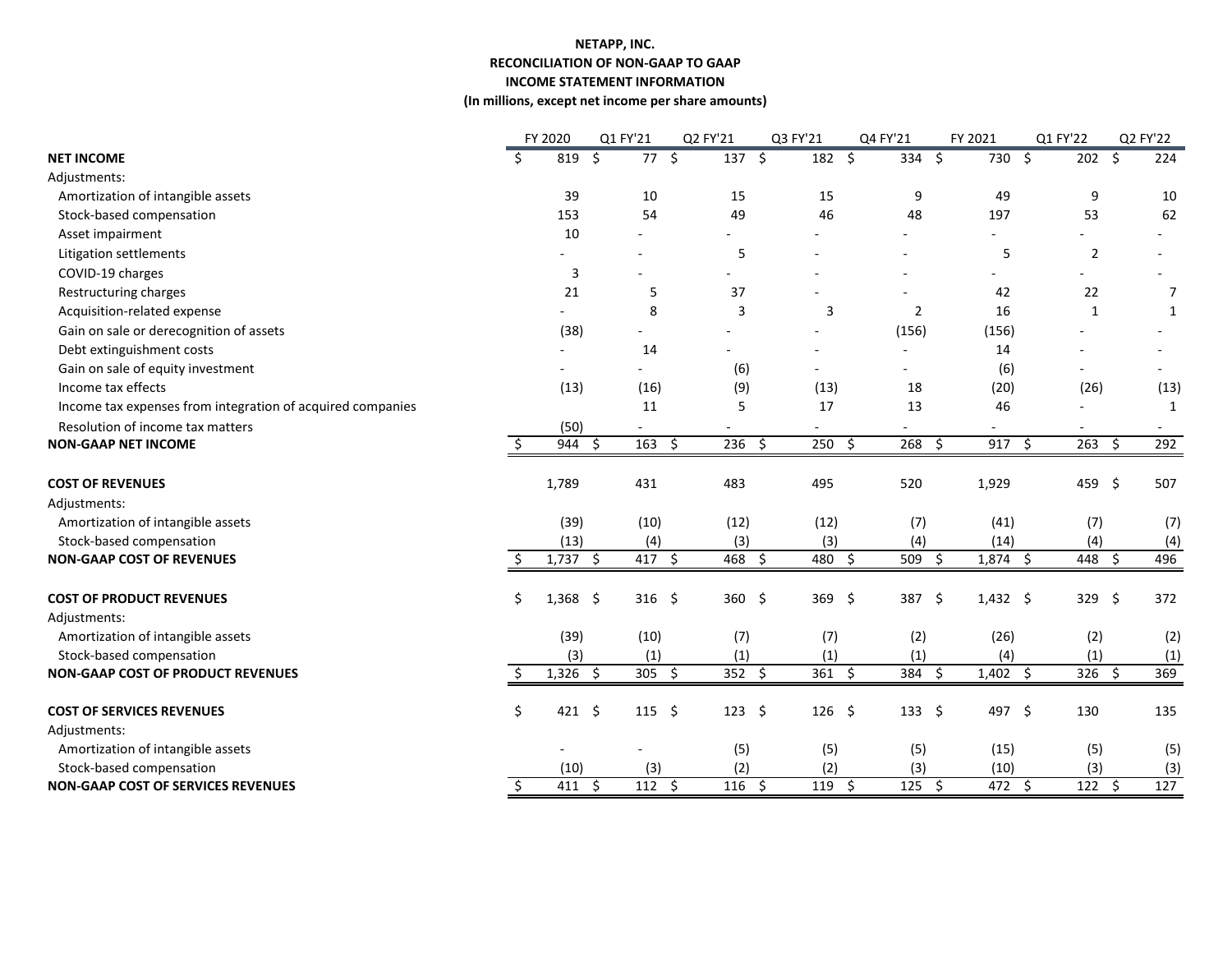# **NETAPP, INC. RECONCILIATION OF NON-GAAP TO GAAP INCOME STATEMENT INFORMATION (In millions, except net income per share amounts)**

|                                                            | FY 2020                 | Q1 FY'21           |                 | Q2 FY'21       | Q3 FY'21                     | Q4 FY'21       | FY 2021                   | Q1 FY'22        |                     | Q2 FY'22       |
|------------------------------------------------------------|-------------------------|--------------------|-----------------|----------------|------------------------------|----------------|---------------------------|-----------------|---------------------|----------------|
| <b>NET INCOME</b>                                          | \$<br>819               | \$                 | 77 <sup>5</sup> | $137 - 5$      | $182 \quad $$                | $334 \quad $5$ |                           | $730 \quad $$   | $202 \div$          | 224            |
| Adjustments:                                               |                         |                    |                 |                |                              |                |                           |                 |                     |                |
| Amortization of intangible assets                          | 39                      | 10                 |                 | 15             | 15                           | 9              | 49                        | 9               |                     | 10             |
| Stock-based compensation                                   | 153                     |                    | 54              | 49             | 46                           | 48             | 197                       | 53              |                     | 62             |
| Asset impairment                                           | 10                      |                    |                 | L.             | $\overline{\phantom{0}}$     |                |                           |                 |                     |                |
| Litigation settlements                                     |                         |                    |                 | 5              |                              |                | 5                         |                 | $\overline{2}$      |                |
| COVID-19 charges                                           | 3                       |                    |                 |                |                              |                |                           |                 |                     |                |
| Restructuring charges                                      | 21                      |                    | 5               | 37             |                              |                | 42                        | 22              |                     | $\overline{7}$ |
| Acquisition-related expense                                |                         |                    | 8               | $\overline{3}$ | 3                            | $\mathbf 2$    | 16                        | $\mathbf{1}$    |                     | $\mathbf{1}$   |
| Gain on sale or derecognition of assets                    | (38)                    |                    |                 |                | $\qquad \qquad \blacksquare$ | (156)          | (156)                     |                 |                     |                |
| Debt extinguishment costs                                  |                         |                    | 14              |                | $\overline{\phantom{0}}$     | ٠              | 14                        |                 |                     |                |
| Gain on sale of equity investment                          |                         |                    |                 | (6)            |                              |                | (6)                       |                 |                     |                |
| Income tax effects                                         | (13)                    | (16)               |                 | (9)            | (13)                         | 18             | (20)                      | (26)            |                     | (13)           |
| Income tax expenses from integration of acquired companies |                         | 11                 |                 | 5              | 17                           | 13             | 46                        |                 |                     | 1              |
| Resolution of income tax matters                           | (50)                    |                    |                 |                |                              |                |                           |                 |                     |                |
| <b>NON-GAAP NET INCOME</b>                                 | \$<br>$944 \; \text{S}$ |                    | $163 \quad $$   | 236<br>$\zeta$ | $250$ \$                     | $268 \quad $$  |                           | $917$ \$<br>263 | \$                  | 292            |
| <b>COST OF REVENUES</b>                                    | 1,789                   | 431                |                 | 483            | 495                          | 520            | 1,929                     | 459             | \$                  | 507            |
| Adjustments:                                               |                         |                    |                 |                |                              |                |                           |                 |                     |                |
| Amortization of intangible assets                          | (39)                    |                    | (10)            | (12)           | (12)                         | (7)            | (41)                      | (7)             |                     | (7)            |
| Stock-based compensation                                   | (13)                    |                    | (4)             | (3)            | (3)                          | (4)            | (14)                      | (4)             |                     | (4)            |
| <b>NON-GAAP COST OF REVENUES</b>                           | \$<br>$1,737$ \$        |                    | 417 \$          | 468 \$         | 480 \$                       | 509 \$         | $1,874$ \$                |                 | 448 \$              | 496            |
| <b>COST OF PRODUCT REVENUES</b>                            | \$<br>$1,368$ \$        |                    | $316$ \$        | 360 \$         | 369 \$                       | 387            | $\zeta$<br>$1,432$ \$     | 329             | $\ddot{\mathsf{S}}$ | 372            |
| Adjustments:                                               |                         |                    |                 |                |                              |                |                           |                 |                     |                |
| Amortization of intangible assets                          | (39)                    | (10)               |                 | (7)            | (7)                          | (2)            | (26)                      | (2)             |                     | (2)            |
| Stock-based compensation                                   | (3)                     |                    | (1)             | (1)            | (1)                          | (1)            | (4)                       | (1)             |                     | (1)            |
| <b>NON-GAAP COST OF PRODUCT REVENUES</b>                   | 1,326                   | 305<br>Ŝ.          | - \$            | $352 \quad $$  | $361 \quad $$                | 384            | Ŝ.<br>$1,402\overline{5}$ |                 | $326$ \$            | 369            |
| <b>COST OF SERVICES REVENUES</b>                           | \$<br>421               | $\zeta$            | 115 \$          | $123$ \$       | $126$ \$                     | 133 \$         |                           | 497 \$<br>130   |                     | 135            |
| Adjustments:                                               |                         |                    |                 |                |                              |                |                           |                 |                     |                |
| Amortization of intangible assets                          |                         |                    |                 | (5)            | (5)                          | (5)            | (15)                      | (5)             |                     | (5)            |
| Stock-based compensation                                   | (10)                    |                    | (3)             | (2)            | (2)                          | (3)            | (10)                      | (3)             |                     | (3)            |
| <b>NON-GAAP COST OF SERVICES REVENUES</b>                  | \$<br>411               | $\ddot{\varsigma}$ | $112 \quad $$   | 116<br>\$      | $119$ \$                     | 125            | \$                        | 472 \$          | $\overline{1}22$ \$ | 127            |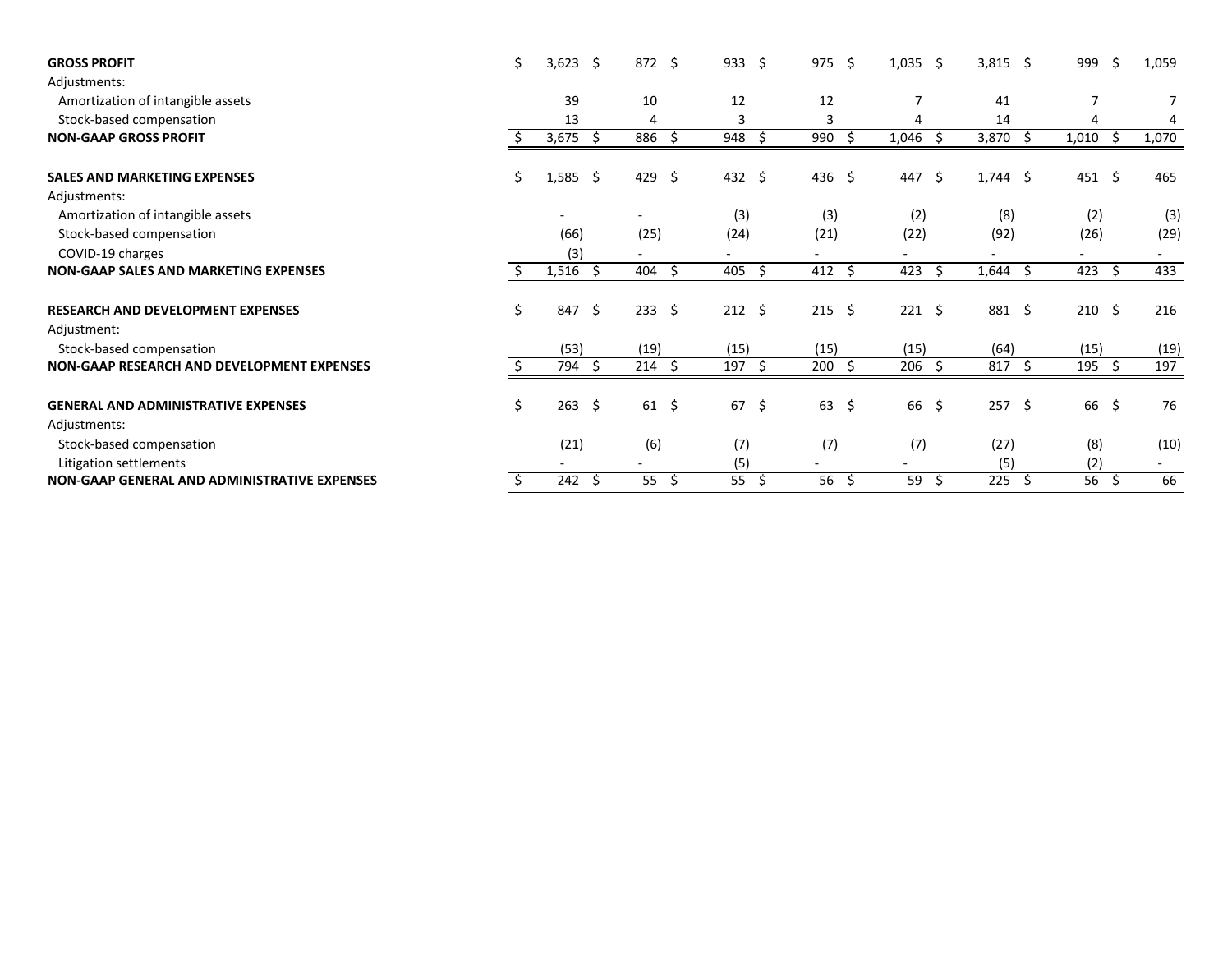| <b>GROSS PROFIT</b>                                | \$<br>3,623 | \$           | 872 \$         |                     | $933 \; \xi$ |         | $975$ \$   | $1,035$ \$    |       | $3,815$ \$ |                     | 999<br>\$                  | 1,059 |
|----------------------------------------------------|-------------|--------------|----------------|---------------------|--------------|---------|------------|---------------|-------|------------|---------------------|----------------------------|-------|
| Adjustments:                                       |             |              |                |                     |              |         |            |               |       |            |                     |                            |       |
| Amortization of intangible assets                  | 39          |              | 10             |                     | 12           |         | 12         |               |       | 41         |                     |                            | 7     |
| Stock-based compensation                           | 13          |              | 4              |                     |              |         |            |               |       | 14         |                     |                            | 4     |
| <b>NON-GAAP GROSS PROFIT</b>                       | 3,675       | -S           | 886            | Ŝ.                  | 948          | \$      | 990        | 1,046         | -S    | 3,870      | Ŝ.                  | 1,010<br>Ŝ.                | 1,070 |
| <b>SALES AND MARKETING EXPENSES</b>                | \$<br>1,585 | \$           | 429            | \$                  | 432          | \$      | 436 \$     | 447 \$        |       | $1,744$ \$ |                     | $451 \; \text{S}$          | 465   |
| Adjustments:<br>Amortization of intangible assets  |             |              |                |                     | (3)          |         | (3)        | (2)           |       | (8)        |                     | (2)                        | (3)   |
| Stock-based compensation                           | (66)        |              | (25)           |                     | (24)         |         | (21)       | (22)          |       | (92)       |                     | (26)                       | (29)  |
| COVID-19 charges                                   | (3)         |              |                |                     |              |         |            |               |       |            |                     |                            |       |
| <b>NON-GAAP SALES AND MARKETING EXPENSES</b>       | 1,516       | -\$          | 404 \$         |                     | 405          | \$      | 412<br>-\$ | 423           | \$    | 1,644      | -\$                 | 423<br>\$                  | 433   |
| RESEARCH AND DEVELOPMENT EXPENSES<br>Adjustment:   | \$<br>847   | $\zeta$      | 233            | $\ddot{\mathsf{S}}$ | 212          | $\zeta$ | $215$ \$   | $221 \quad $$ |       | 881        | $\ddot{\mathsf{S}}$ | $\ddot{\mathsf{S}}$<br>210 | 216   |
| Stock-based compensation                           | (53)        |              | (19)           |                     | (15)         |         | (15)       | (15)          |       | (64)       |                     | (15)                       | (19)  |
| NON-GAAP RESEARCH AND DEVELOPMENT EXPENSES         | 794         | Ŝ.           | $214 \quad$ \$ |                     | 197          | Ŝ.      | 200<br>-S  | 206           | -S    | 817        | -S                  | 195<br>S.                  | 197   |
| <b>GENERAL AND ADMINISTRATIVE EXPENSES</b>         | \$<br>263   | \$           | 61             | -\$                 | $67 \;$ \$   |         | $63 \;$ \$ |               | 66 \$ | 257        | $\zeta$             | 66 \$                      | 76    |
| Adjustments:                                       |             |              |                |                     |              |         |            |               |       | (27)       |                     |                            |       |
| Stock-based compensation<br>Litigation settlements | (21)        |              | (6)            |                     | (7)          |         | (7)        | (7)           |       | (5)        |                     | (8)<br>(2)                 | (10)  |
| NON-GAAP GENERAL AND ADMINISTRATIVE EXPENSES       | 242         | <sub>S</sub> | 55             | -\$                 | (5)<br>55    | Ś       | 56<br>.S   | 59            | \$    | 225        | -S                  | 56<br>\$                   | 66    |
|                                                    |             |              |                |                     |              |         |            |               |       |            |                     |                            |       |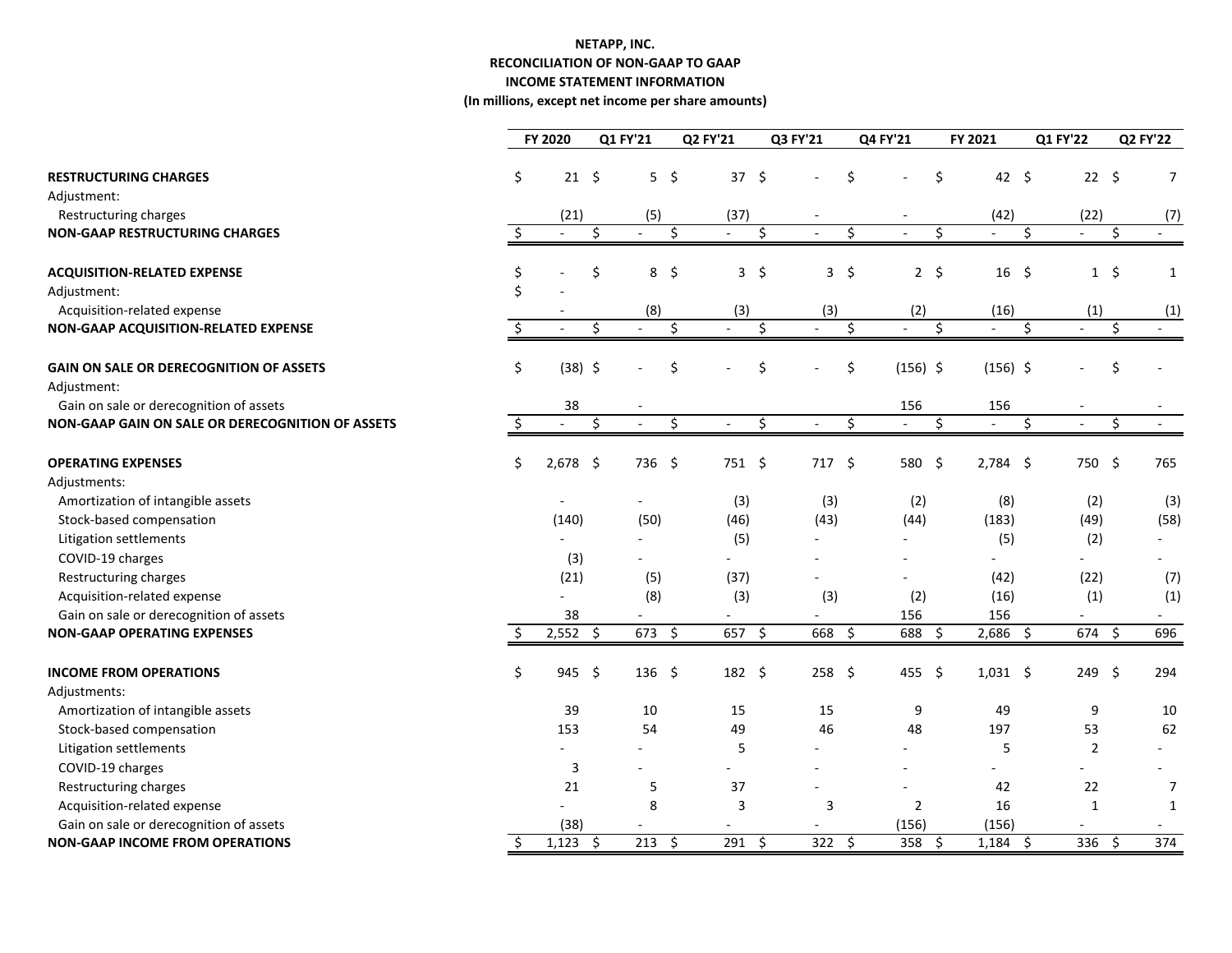# **NETAPP, INC. RECONCILIATION OF NON-GAAP TO GAAP INCOME STATEMENT INFORMATION (In millions, except net income per share amounts)**

|                                                               |    | FY 2020                  |                          | Q1 FY'21                 |                         | Q2 FY'21                  |                         | Q3 FY'21                 |                    | Q4 FY'21                 |                          | FY 2021        |                         | Q1 FY'22                 |                         | <b>Q2 FY'22</b>  |
|---------------------------------------------------------------|----|--------------------------|--------------------------|--------------------------|-------------------------|---------------------------|-------------------------|--------------------------|--------------------|--------------------------|--------------------------|----------------|-------------------------|--------------------------|-------------------------|------------------|
| <b>RESTRUCTURING CHARGES</b>                                  | \$ | $21 \; \xi$              |                          | 5                        | \$                      | 37                        | \$                      |                          | \$                 |                          | \$                       | 42 \$          |                         | $22 \div$                |                         | $\overline{7}$   |
| Adjustment:                                                   |    |                          |                          |                          |                         |                           |                         |                          |                    |                          |                          |                |                         |                          |                         |                  |
| Restructuring charges                                         |    | (21)                     |                          | (5)                      |                         | (37)                      |                         |                          |                    |                          |                          | (42)           |                         | (22)                     |                         | (7)              |
| <b>NON-GAAP RESTRUCTURING CHARGES</b>                         | Ŝ. | $\mathbf{r}$             | $\overline{\mathcal{S}}$ | $\mathbb{L}^+$           | $\overline{\mathsf{S}}$ | $\mathbb{L}^{\mathbb{Z}}$ | $\overline{\mathsf{S}}$ | $\sim$                   | \$                 | $\sim$                   | $\overline{\mathcal{S}}$ | $\mathbf{L}$   | $\overline{\mathsf{S}}$ | $\mathbf{r}$             | $\overline{\mathsf{S}}$ | $\omega$         |
| <b>ACQUISITION-RELATED EXPENSE</b>                            | \$ |                          | \$                       | 8                        | \$                      | $\mathbf{3}$              | $\ddot{\varsigma}$      |                          | $3\ddot{5}$        |                          | $2 \; 5$                 | 16             | -\$                     | 1                        | \$                      | $\mathbf{1}$     |
| Adjustment:                                                   | Ś  |                          |                          |                          |                         |                           |                         |                          |                    |                          |                          |                |                         |                          |                         |                  |
| Acquisition-related expense                                   |    |                          |                          | (8)                      |                         | (3)                       |                         | (3)                      |                    | (2)                      |                          | (16)           |                         | (1)                      |                         | (1)              |
| NON-GAAP ACQUISITION-RELATED EXPENSE                          | Ŝ. | $\sim$                   | \$                       | $\blacksquare$           | \$                      | $\equiv$                  | \$                      | $\omega$                 | \$                 | $\overline{\phantom{a}}$ | \$                       | $\equiv$       | \$                      | $\blacksquare$           | \$                      | $\equiv$         |
| <b>GAIN ON SALE OR DERECOGNITION OF ASSETS</b><br>Adjustment: | \$ | $(38)$ \$                |                          |                          | \$                      |                           | \$                      |                          | \$                 | $(156)$ \$               |                          | $(156)$ \$     |                         |                          | \$                      |                  |
| Gain on sale or derecognition of assets                       |    | 38                       |                          | $\sim$                   |                         |                           |                         |                          |                    | 156                      |                          | 156            |                         | $\overline{\phantom{a}}$ |                         |                  |
| NON-GAAP GAIN ON SALE OR DERECOGNITION OF ASSETS              | S  | $\blacksquare$           | \$                       | $\blacksquare$           | \$                      | $\overline{\phantom{a}}$  | \$                      | $\overline{\phantom{a}}$ | \$                 | $\blacksquare$           | \$                       | $\blacksquare$ | \$                      | $\blacksquare$           | \$                      | $\blacksquare$   |
| <b>OPERATING EXPENSES</b>                                     | \$ | $2,678$ \$               |                          | 736                      | $\ddot{\mathsf{S}}$     | 751 \$                    |                         | 717 \$                   |                    | 580 \$                   |                          | 2,784 \$       |                         | 750 \$                   |                         | 765              |
| Adjustments:                                                  |    |                          |                          |                          |                         |                           |                         |                          |                    |                          |                          |                |                         |                          |                         |                  |
| Amortization of intangible assets                             |    | $\overline{\phantom{a}}$ |                          | $\overline{\phantom{a}}$ |                         | (3)                       |                         | (3)                      |                    | (2)                      |                          | (8)            |                         | (2)                      |                         | (3)              |
| Stock-based compensation                                      |    | (140)                    |                          | (50)                     |                         | (46)                      |                         | (43)                     |                    | (44)                     |                          | (183)          |                         | (49)                     |                         | (58)             |
| Litigation settlements                                        |    | $\blacksquare$           |                          |                          |                         | (5)                       |                         |                          |                    |                          |                          | (5)            |                         | (2)                      |                         |                  |
| COVID-19 charges                                              |    | (3)                      |                          |                          |                         |                           |                         |                          |                    |                          |                          | $\overline{a}$ |                         |                          |                         |                  |
| Restructuring charges                                         |    | (21)                     |                          | (5)                      |                         | (37)                      |                         |                          |                    |                          |                          | (42)           |                         | (22)                     |                         | (7)              |
| Acquisition-related expense                                   |    | $\overline{a}$           |                          | (8)                      |                         | (3)                       |                         | (3)                      |                    | (2)                      |                          | (16)           |                         | (1)                      |                         | (1)              |
| Gain on sale or derecognition of assets                       |    | 38                       |                          |                          |                         |                           |                         |                          |                    | 156                      |                          | 156            |                         |                          |                         |                  |
| <b>NON-GAAP OPERATING EXPENSES</b>                            |    | $2,552$ \$               |                          | $673$ \$                 |                         | 657                       | $\ddot{\varsigma}$      | 668                      | $\ddot{\varsigma}$ | 688 \$                   |                          | $2,686$ \$     |                         | $674$ \$                 |                         | 696              |
| <b>INCOME FROM OPERATIONS</b>                                 | \$ | 945 \$                   |                          | 136 \$                   |                         | 182 \$                    |                         | $258$ \$                 |                    | 455 \$                   |                          | $1,031$ \$     |                         | 249                      | $\zeta$                 | 294              |
| Adjustments:                                                  |    |                          |                          |                          |                         |                           |                         |                          |                    |                          |                          |                |                         |                          |                         |                  |
| Amortization of intangible assets                             |    | 39                       |                          | $10\,$                   |                         | 15                        |                         | 15                       |                    | 9                        |                          | 49             |                         | 9                        |                         | 10               |
| Stock-based compensation                                      |    | 153                      |                          | 54                       |                         | 49                        |                         | 46                       |                    | 48                       |                          | 197            |                         | 53                       |                         | 62               |
| Litigation settlements                                        |    |                          |                          |                          |                         | 5                         |                         |                          |                    |                          |                          | 5              |                         | $\overline{2}$           |                         |                  |
| COVID-19 charges                                              |    | $\mathbf{3}$             |                          |                          |                         |                           |                         |                          |                    |                          |                          |                |                         |                          |                         |                  |
| Restructuring charges                                         |    | 21                       |                          | $\mathsf S$              |                         | 37                        |                         |                          |                    |                          |                          | 42             |                         | 22                       |                         | $\overline{7}$   |
| Acquisition-related expense                                   |    |                          |                          | 8                        |                         | 3                         |                         | 3                        |                    | $\overline{2}$           |                          | 16             |                         | $\mathbf{1}$             |                         | $\mathbf{1}$     |
| Gain on sale or derecognition of assets                       |    | (38)                     |                          |                          |                         |                           |                         |                          |                    | (156)                    |                          | (156)          |                         |                          |                         |                  |
| <b>NON-GAAP INCOME FROM OPERATIONS</b>                        | \$ | 1,123                    | -\$                      | $\overline{213}$         | \$                      | $\overline{291}$          | $\mathsf{\hat{S}}$      | 322                      | $\zeta$            | 358                      | Ŝ.                       | 1,184          | \$                      | 336                      | \$                      | $\overline{374}$ |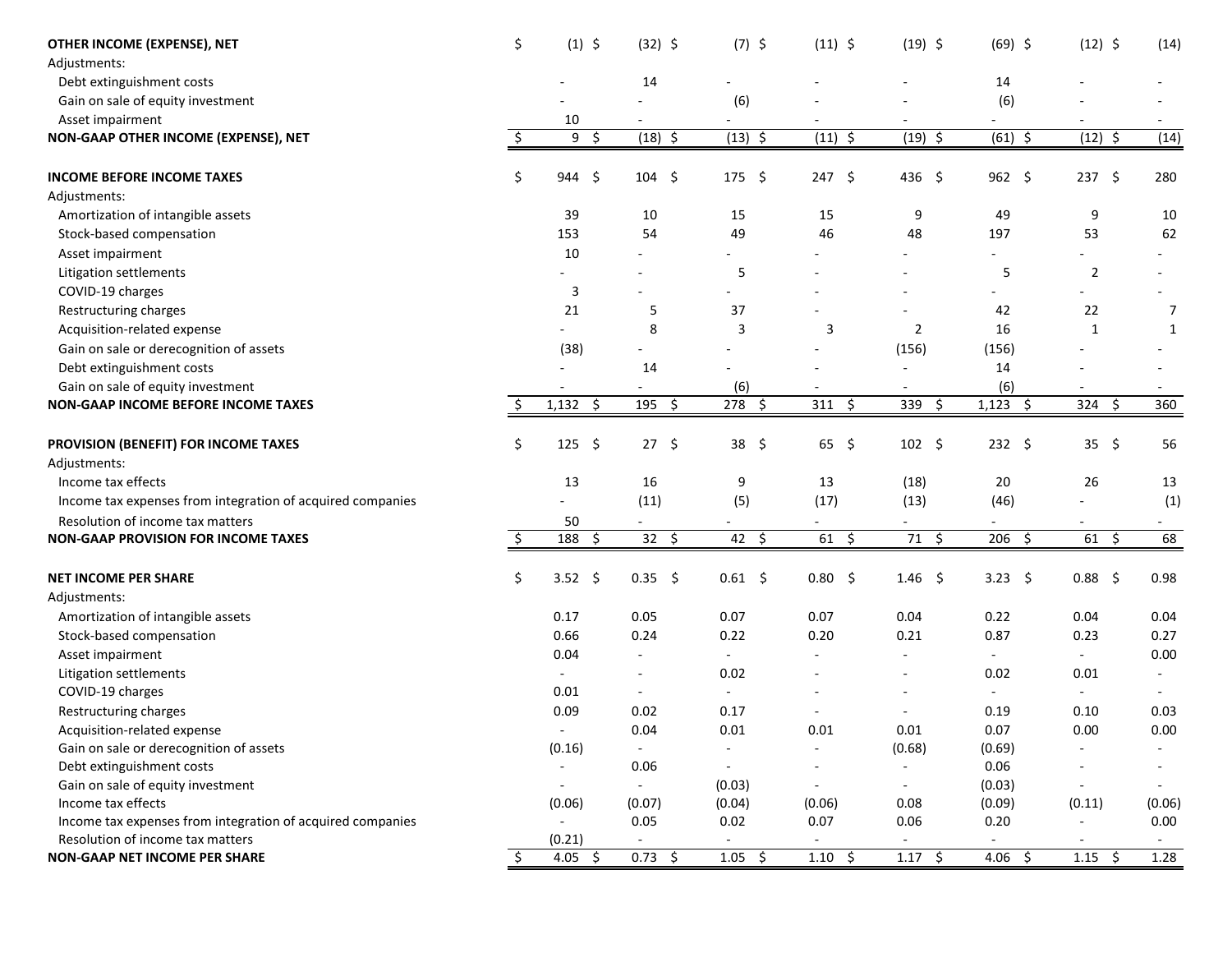| OTHER INCOME (EXPENSE), NET                                | \$ | $(1)$ \$       | $(32)$ \$                | $(7)$ \$                 | $(11)$ \$                | $(19)$ \$                | $(69)$ \$                | $(12)$ \$                | (14)           |
|------------------------------------------------------------|----|----------------|--------------------------|--------------------------|--------------------------|--------------------------|--------------------------|--------------------------|----------------|
| Adjustments:                                               |    |                |                          |                          |                          |                          |                          |                          |                |
| Debt extinguishment costs                                  |    |                | 14                       |                          |                          |                          | 14                       |                          |                |
| Gain on sale of equity investment                          |    |                |                          | (6)                      |                          |                          | (6)                      |                          |                |
| Asset impairment                                           |    | 10             |                          |                          |                          |                          |                          |                          |                |
| NON-GAAP OTHER INCOME (EXPENSE), NET                       | \$ | $9\sqrt{5}$    | $(18)$ \$                | $(13)$ \$                | $(11)$ \$                | $(19)$ \$                | $(61)$ \$                | $(12)$ \$                | (14)           |
| <b>INCOME BEFORE INCOME TAXES</b>                          | \$ | \$<br>944      | 104<br>\$                | $175$ \$                 | $247$ \$                 | 436 \$                   | 962<br>\$                | \$<br>237                | 280            |
| Adjustments:                                               |    |                |                          |                          |                          |                          |                          |                          |                |
| Amortization of intangible assets                          |    | 39             | 10                       | 15                       | 15                       | 9                        | 49                       | 9                        | 10             |
| Stock-based compensation                                   |    | 153            | 54                       | 49                       | 46                       | 48                       | 197                      | 53                       | 62             |
| Asset impairment                                           |    | 10             |                          |                          |                          |                          |                          |                          |                |
| Litigation settlements                                     |    |                |                          | 5                        |                          |                          | 5                        | $\overline{2}$           |                |
| COVID-19 charges                                           |    | $\overline{3}$ |                          |                          |                          |                          |                          |                          |                |
| Restructuring charges                                      |    | 21             | 5                        | 37                       |                          |                          | 42                       | 22                       | $\overline{7}$ |
| Acquisition-related expense                                |    |                | 8                        | 3                        | 3                        | $\overline{2}$           | 16                       | $\mathbf{1}$             | $\mathbf{1}$   |
| Gain on sale or derecognition of assets                    |    | (38)           |                          |                          |                          | (156)                    | (156)                    |                          |                |
| Debt extinguishment costs                                  |    |                | 14                       |                          |                          |                          | 14                       |                          |                |
| Gain on sale of equity investment                          |    |                |                          | (6)                      |                          |                          | (6)                      |                          |                |
| <b>NON-GAAP INCOME BEFORE INCOME TAXES</b>                 |    | $1,132$ \$     | 195<br>$\ddot{\phi}$     | $278$ \$                 | $311 \; \text{S}$        | 339 \$                   | $1,123$ \$               | 324<br>\$                | 360            |
| PROVISION (BENEFIT) FOR INCOME TAXES                       | \$ | \$<br>125      | $27 \frac{2}{ }$         | 38 \$                    | $65 \;$ \$               | $102 \div$               | 232<br>\$                | \$<br>35                 | 56             |
| Adjustments:                                               |    |                |                          |                          |                          |                          |                          |                          |                |
| Income tax effects                                         |    | 13             | 16                       | 9                        | 13                       | (18)                     | 20                       | 26                       | 13             |
| Income tax expenses from integration of acquired companies |    |                | (11)                     | (5)                      | (17)                     | (13)                     | (46)                     |                          | (1)            |
| Resolution of income tax matters                           |    | 50             |                          |                          |                          |                          |                          |                          |                |
| <b>NON-GAAP PROVISION FOR INCOME TAXES</b>                 | Ŝ. | 188<br>$\zeta$ | $32 \div$                | $42 \div$                | $61 \;$ \$               | $71 \frac{2}{7}$         | $206 \frac{2}{5}$        | $61 \overline{5}$        | 68             |
| <b>NET INCOME PER SHARE</b>                                | \$ | 3.52 \$        | $0.35$ \$                | $0.61$ \$                | $0.80\frac{1}{5}$        | 1.46 \$                  | 3.23<br>\$               | $0.88$ \$                | 0.98           |
| Adjustments:                                               |    |                |                          |                          |                          |                          |                          |                          |                |
| Amortization of intangible assets                          |    | 0.17           | 0.05                     | 0.07                     | 0.07                     | 0.04                     | 0.22                     | 0.04                     | 0.04           |
| Stock-based compensation                                   |    | 0.66           | 0.24                     | 0.22                     | 0.20                     | 0.21                     | 0.87                     | 0.23                     | 0.27           |
| Asset impairment                                           |    | 0.04           |                          |                          |                          |                          |                          |                          | 0.00           |
| Litigation settlements                                     |    |                |                          | 0.02                     |                          |                          | 0.02                     | 0.01                     | $\sim$         |
| COVID-19 charges                                           |    | 0.01           | $\sim$                   | $\overline{\phantom{a}}$ |                          |                          | $\overline{\phantom{a}}$ | $\overline{\phantom{a}}$ | $\sim$         |
| Restructuring charges                                      |    | 0.09           | 0.02                     | 0.17                     | $\overline{\phantom{a}}$ | $\overline{\phantom{a}}$ | 0.19                     | 0.10                     | 0.03           |
| Acquisition-related expense                                |    |                | 0.04                     | 0.01                     | 0.01                     | 0.01                     | 0.07                     | 0.00                     | 0.00           |
| Gain on sale or derecognition of assets                    |    | (0.16)         |                          |                          |                          | (0.68)                   | (0.69)                   |                          |                |
| Debt extinguishment costs                                  |    |                | 0.06                     |                          |                          |                          | 0.06                     |                          |                |
| Gain on sale of equity investment                          |    |                | $\overline{\phantom{a}}$ | (0.03)                   | $\overline{\phantom{a}}$ | $\overline{\phantom{a}}$ | (0.03)                   |                          |                |
| Income tax effects                                         |    | (0.06)         | (0.07)                   | (0.04)                   | (0.06)                   | 0.08                     | (0.09)                   | (0.11)                   | (0.06)         |
| Income tax expenses from integration of acquired companies |    |                | 0.05                     | 0.02                     | 0.07                     | 0.06                     | 0.20                     |                          | 0.00           |
| Resolution of income tax matters                           |    | (0.21)         |                          |                          |                          |                          | $\blacksquare$           |                          |                |
| <b>NON-GAAP NET INCOME PER SHARE</b>                       |    | 4.05 \$        | $0.73$ \$                | $1.05 \; \; \zeta$       | $1.10 \pm 5$             | $1.17 \; \text{S}$       | 4.06<br>\$               | $1.15 \; \S$             | 1.28           |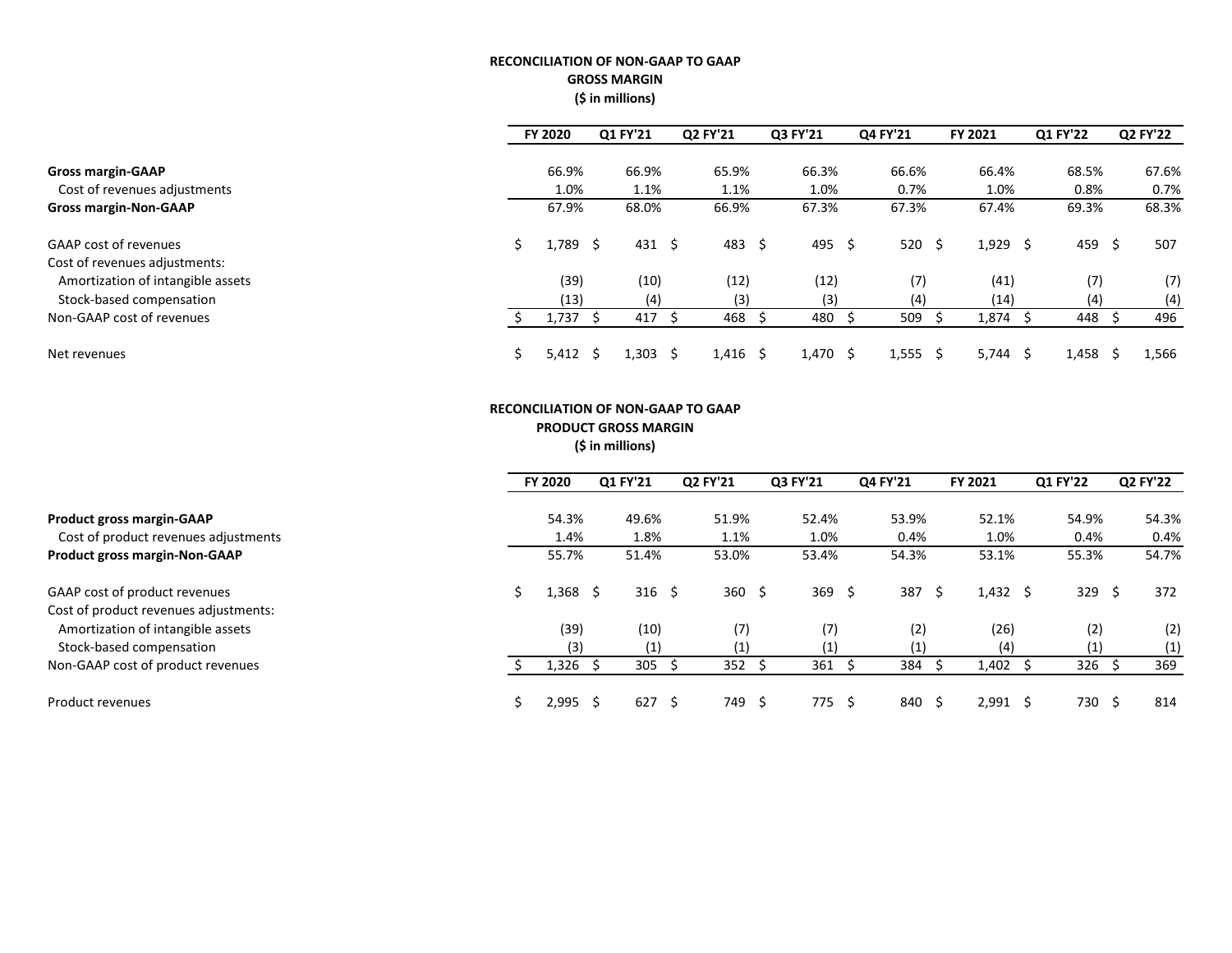### **RECONCILIATION OF NON-GAAP TO GAAP GROSS MARGIN (\$ in millions)**

|                                   | FY 2020 |            | <b>Q1 FY'21</b> | <b>Q2 FY'21</b> | Q3 FY'21        | Q4 FY'21   | FY 2021     | Q1 FY'22    | Q2 FY'22   |
|-----------------------------------|---------|------------|-----------------|-----------------|-----------------|------------|-------------|-------------|------------|
| <b>Gross margin-GAAP</b>          | 66.9%   |            | 66.9%           | 65.9%           | 66.3%           | 66.6%      | 66.4%       | 68.5%       | 67.6%      |
| Cost of revenues adjustments      |         | 1.0%       | 1.1%            | 1.1%            | 1.0%            | 0.7%       | 1.0%        | 0.8%        | 0.7%       |
| <b>Gross margin-Non-GAAP</b>      | 67.9%   |            | 68.0%           | 66.9%           | 67.3%           | 67.3%      | 67.4%       | 69.3%       | 68.3%      |
| <b>GAAP</b> cost of revenues      |         | ,789<br>-S | 431<br>- \$     | 483             | 495 \$<br>S     | $520 \div$ | 1,929       | 459<br>- \$ | 507<br>\$. |
| Cost of revenues adjustments:     |         |            |                 |                 |                 |            |             |             |            |
| Amortization of intangible assets |         | (39)       | (10)            | (12)            | (12)            | (7)        | (41)        | (7)         | (7)        |
| Stock-based compensation          |         | (13)       | (4)             | (3)             | (3)             | (4)        | (14)        | (4)         | (4)        |
| Non-GAAP cost of revenues         | 1,737   |            | 417             | 468             | 480             | 509        | 1,874<br>-S | 448         | 496        |
| Net revenues                      | 5,412   |            | 1,303           | 1,416<br>-S     | $1,470$ \$<br>S | 1,555 \$   | 5,744       | 1,458<br>-S | 1,566      |

# **PRODUCT GROSS MARGIN (\$ in millions) RECONCILIATION OF NON-GAAP TO GAAP**

|                                       | FY 2020 | <b>Q1 FY'21</b>  | Q2 FY'21   | Q3 FY'21     | Q4 FY'21 | FY 2021         | Q1 FY'22 | Q2 FY'22          |
|---------------------------------------|---------|------------------|------------|--------------|----------|-----------------|----------|-------------------|
| <b>Product gross margin-GAAP</b>      | 54.3%   | 49.6%            | 51.9%      | 52.4%        | 53.9%    | 52.1%           | 54.9%    | 54.3%             |
| Cost of product revenues adjustments  | 1.4%    | 1.8%             | 1.1%       | 1.0%         | 0.4%     | 1.0%            | 0.4%     | 0.4%              |
| <b>Product gross margin-Non-GAAP</b>  | 55.7%   | 51.4%            | 53.0%      | 53.4%        | 54.3%    | 53.1%           | 55.3%    | 54.7%             |
| GAAP cost of product revenues         | 1,368   | $316 \pm 5$<br>S | 360        | 369 \$<br>S. | 387 \$   | $1,432 \quad $$ | 329      | 372<br>-\$        |
| Cost of product revenues adjustments: |         |                  |            |              |          |                 |          |                   |
| Amortization of intangible assets     | (39)    | (10)             | (7)        | (7)          | (2)      | (26)            | (2)      | (2)               |
| Stock-based compensation              | (3)     | (1)              | (1)        | (1)          | (1)      | (4)             |          | $\left( 1\right)$ |
| Non-GAAP cost of product revenues     | 1,326   | 305              | 352<br>-S  | 361          | 384      | 1,402<br>-S     | 326      | 369               |
| Product revenues                      | 2,995   | 627              | 749<br>- S | 775 \$<br>S  | 840 S    | 2,991           | 730      | 814<br>-S         |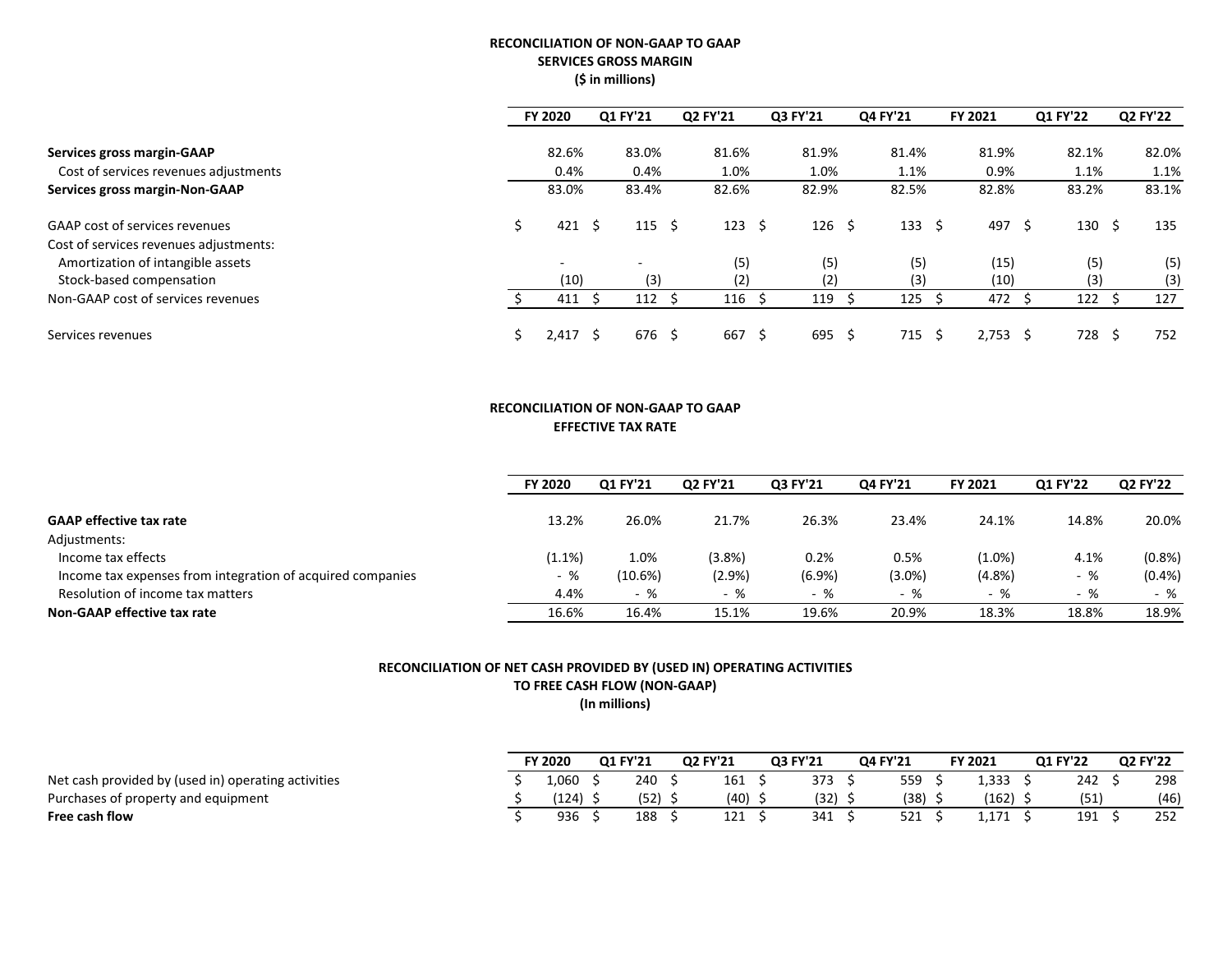### **RECONCILIATION OF NON-GAAP TO GAAP SERVICES GROSS MARGIN (\$ in millions)**

|                                        | FY 2020                  | Q1 FY'21                 | Q2 FY'21 |               | Q3 FY'21      | Q4 FY'21          | FY 2021      | Q1 FY'22  | Q2 FY'22 |
|----------------------------------------|--------------------------|--------------------------|----------|---------------|---------------|-------------------|--------------|-----------|----------|
| Services gross margin-GAAP             | 82.6%                    | 83.0%                    |          | 81.6%         | 81.9%         | 81.4%             | 81.9%        | 82.1%     | 82.0%    |
| Cost of services revenues adjustments  | 0.4%                     | 0.4%                     |          | 1.0%          | 1.0%          | 1.1%              | 0.9%         | 1.1%      | 1.1%     |
| Services gross margin-Non-GAAP         | 83.0%                    | 83.4%                    |          | 82.6%         | 82.9%         | 82.5%             | 82.8%        | 83.2%     | 83.1%    |
| <b>GAAP</b> cost of services revenues  | 421                      | Ŝ.<br>115                | - \$     | $123 \quad 5$ | $126 \;$ \$   | $133 \; \; \zeta$ | 497          | 130<br>\$ | 135<br>S |
| Cost of services revenues adjustments: |                          |                          |          |               |               |                   |              |           |          |
| Amortization of intangible assets      | $\overline{\phantom{0}}$ | $\overline{\phantom{0}}$ |          | (5)           | (5)           | (5)               | (15)         | (5)       | (5)      |
| Stock-based compensation               | (10)                     | (3)                      |          | (2)           | (2)           | (3)               | (10)         | (3)       | (3)      |
| Non-GAAP cost of services revenues     | 411                      | 112                      |          | 116           | 119           | 125               | 472          | 122       | 127      |
| Services revenues                      | 2,417                    | 676<br>Ŝ.                | Ŝ.       | 667<br>- S    | $695 \quad $$ | 715<br>- \$       | 2,753<br>- S | 728       | 752<br>S |

#### **RECONCILIATION OF NON-GAAP TO GAAP EFFECTIVE TAX RATE**

|                                                            | <b>FY 2020</b> | Q1 FY'21 | <b>Q2 FY'21</b> | Q3 FY'21 | Q4 FY'21  | FY 2021   | Q1 FY'22 | Q2 FY'22  |
|------------------------------------------------------------|----------------|----------|-----------------|----------|-----------|-----------|----------|-----------|
| <b>GAAP effective tax rate</b>                             | 13.2%          | 26.0%    | 21.7%           | 26.3%    | 23.4%     | 24.1%     | 14.8%    | 20.0%     |
|                                                            |                |          |                 |          |           |           |          |           |
| Adjustments:                                               |                |          |                 |          |           |           |          |           |
| Income tax effects                                         | $(1.1\%)$      | 1.0%     | $(3.8\%)$       | 0.2%     | 0.5%      | $(1.0\%)$ | 4.1%     | (0.8% )   |
| Income tax expenses from integration of acquired companies | - %            | (10.6%)  | (2.9%)          | (6.9%)   | $(3.0\%)$ | (4.8%)    | - %      | $(0.4\%)$ |
| Resolution of income tax matters                           | 4.4%           | - %      | - %             | $-$ %    | - %       | - %       | - %      | - %       |
| Non-GAAP effective tax rate                                | 16.6%          | 16.4%    | 15.1%           | 19.6%    | 20.9%     | 18.3%     | 18.8%    | 18.9%     |

# **RECONCILIATION OF NET CASH PROVIDED BY (USED IN) OPERATING ACTIVITIES TO FREE CASH FLOW (NON-GAAP) (In millions)**

|                                                     | FY 2020 | <b>Q1 FY'21</b> | Q2 FY'21 | Q3 FY'21 | Q4 FY'21 | <b>FY 2021</b> | <b>Q1 FY'22</b> | Q2 FY'22 |
|-----------------------------------------------------|---------|-----------------|----------|----------|----------|----------------|-----------------|----------|
| Net cash provided by (used in) operating activities | 1.060   | 240             | 161      | 373      | 559      | 333            | 242             | 298      |
| Purchases of property and equipment                 | (124)   | (52)            | (40)     | (32)     | (38)     | (162)          |                 | (46)     |
| Free cash flow                                      | 936     | 188             | 121      | 341      | 521      | 1.171          | 191             | 252      |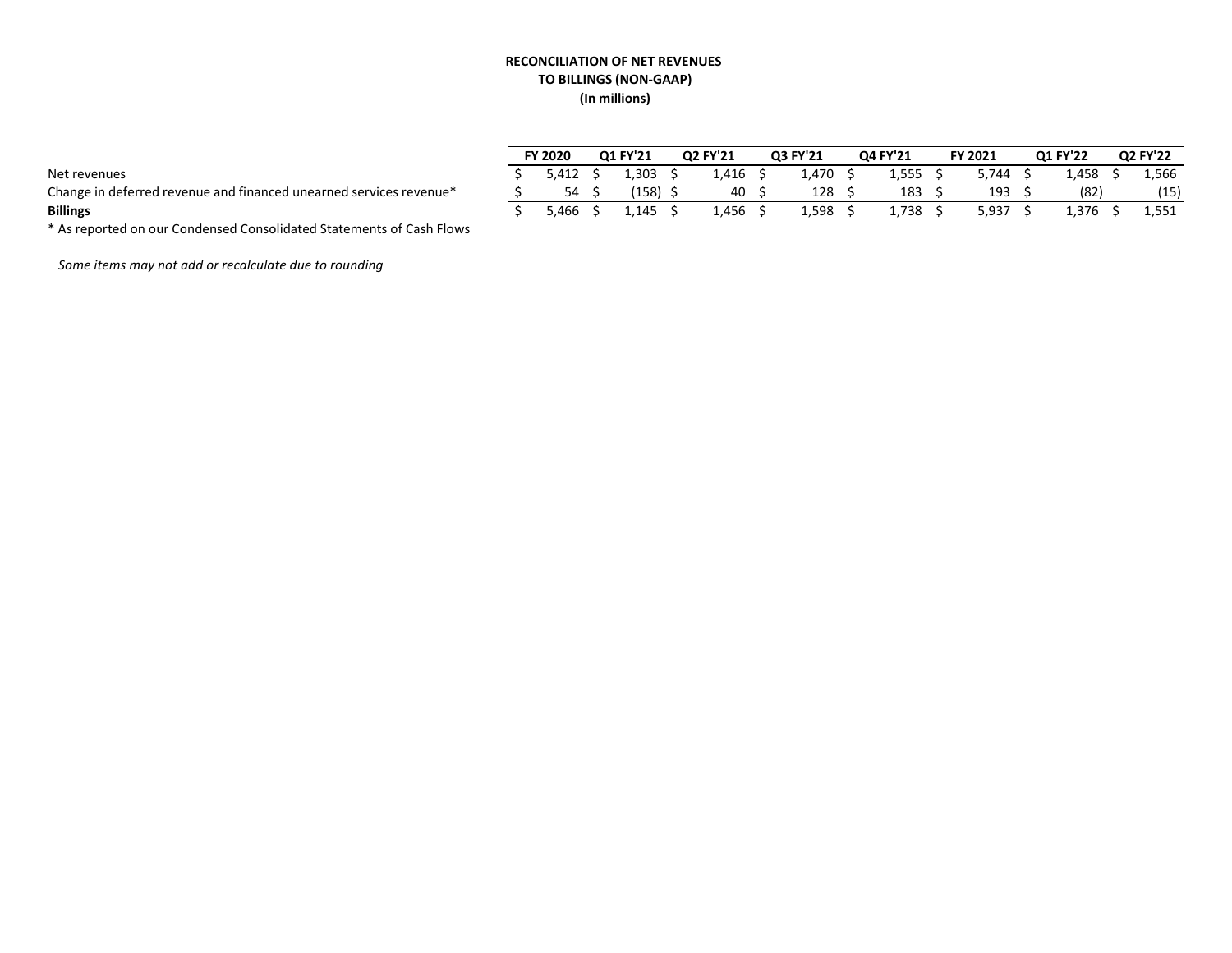### **RECONCILIATION OF NET REVENUES TO BILLINGS (NON-GAAP) (In millions)**

\* As reported on our Condensed Consolidated Statements of Cash Flows

*Some items may not add or recalculate due to rounding*

|                                                                    | FY 2020 | Q1 FY'21 | Q2 FY'21 | Q3 FY'21 | Q4 FY'21 | FY 2021 | Q1 FY'22 | Q2 FY'22 |
|--------------------------------------------------------------------|---------|----------|----------|----------|----------|---------|----------|----------|
| Net revenues                                                       | 5.412   | 1.303    | 1.416    | 1.470    | 1,555    | 5,744   | 4,458    | 1,566    |
| Change in deferred revenue and financed unearned services revenue* | 54      | (158)    | 40       | 128      | 183      | 193     | (82)     | (15)     |
| <b>Billings</b>                                                    | 5,466   | 1,145    | 1,456    | 1,598    | ⊥,738    | 5,937   | 1.376    | 1,551    |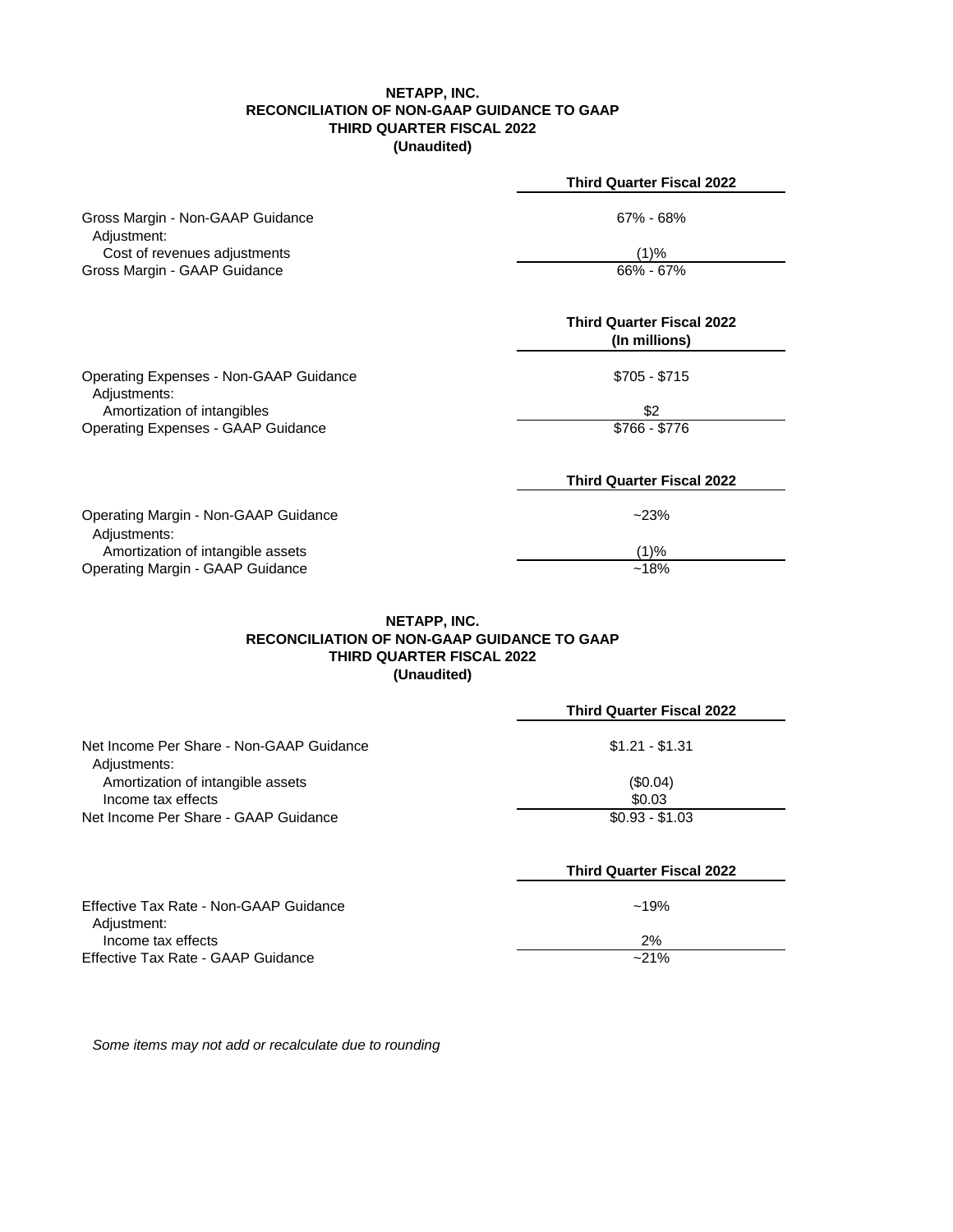# **NETAPP, INC. RECONCILIATION OF NON-GAAP GUIDANCE TO GAAP THIRD QUARTER FISCAL 2022 (Unaudited)**

|                                                                                 | <b>Third Quarter Fiscal 2022</b>                  |
|---------------------------------------------------------------------------------|---------------------------------------------------|
| Gross Margin - Non-GAAP Guidance<br>Adjustment:<br>Cost of revenues adjustments | $67\% - 68\%$<br>(1)%                             |
| Gross Margin - GAAP Guidance                                                    | 66% - 67%                                         |
|                                                                                 | <b>Third Quarter Fiscal 2022</b><br>(In millions) |
| <b>Operating Expenses - Non-GAAP Guidance</b><br>Adjustments:                   | $$705 - $715$                                     |
| Amortization of intangibles<br><b>Operating Expenses - GAAP Guidance</b>        | \$2<br>\$766 - \$776                              |
|                                                                                 | <b>Third Quarter Fiscal 2022</b>                  |
| <b>Operating Margin - Non-GAAP Guidance</b><br>Adjustments:                     | $~23\%$                                           |
| Amortization of intangible assets                                               | (1)%                                              |
| <b>Operating Margin - GAAP Guidance</b>                                         | ~18%                                              |

# **THIRD QUARTER FISCAL 2022 (Unaudited) NETAPP, INC. RECONCILIATION OF NON-GAAP GUIDANCE TO GAAP**

|                                                          | <b>Third Quarter Fiscal 2022</b> |
|----------------------------------------------------------|----------------------------------|
| Net Income Per Share - Non-GAAP Guidance<br>Adjustments: | $$1.21 - $1.31$                  |
| Amortization of intangible assets<br>Income tax effects  | (\$0.04)<br>\$0.03               |
| Net Income Per Share - GAAP Guidance                     | $$0.93 - $1.03$                  |

|                                                       | <b>Third Quarter Fiscal 2022</b> |
|-------------------------------------------------------|----------------------------------|
| Effective Tax Rate - Non-GAAP Guidance<br>Adjustment: | $~19\%$                          |
| Income tax effects                                    | 2%                               |
| Effective Tax Rate - GAAP Guidance                    | $-21%$                           |

*Some items may not add or recalculate due to rounding*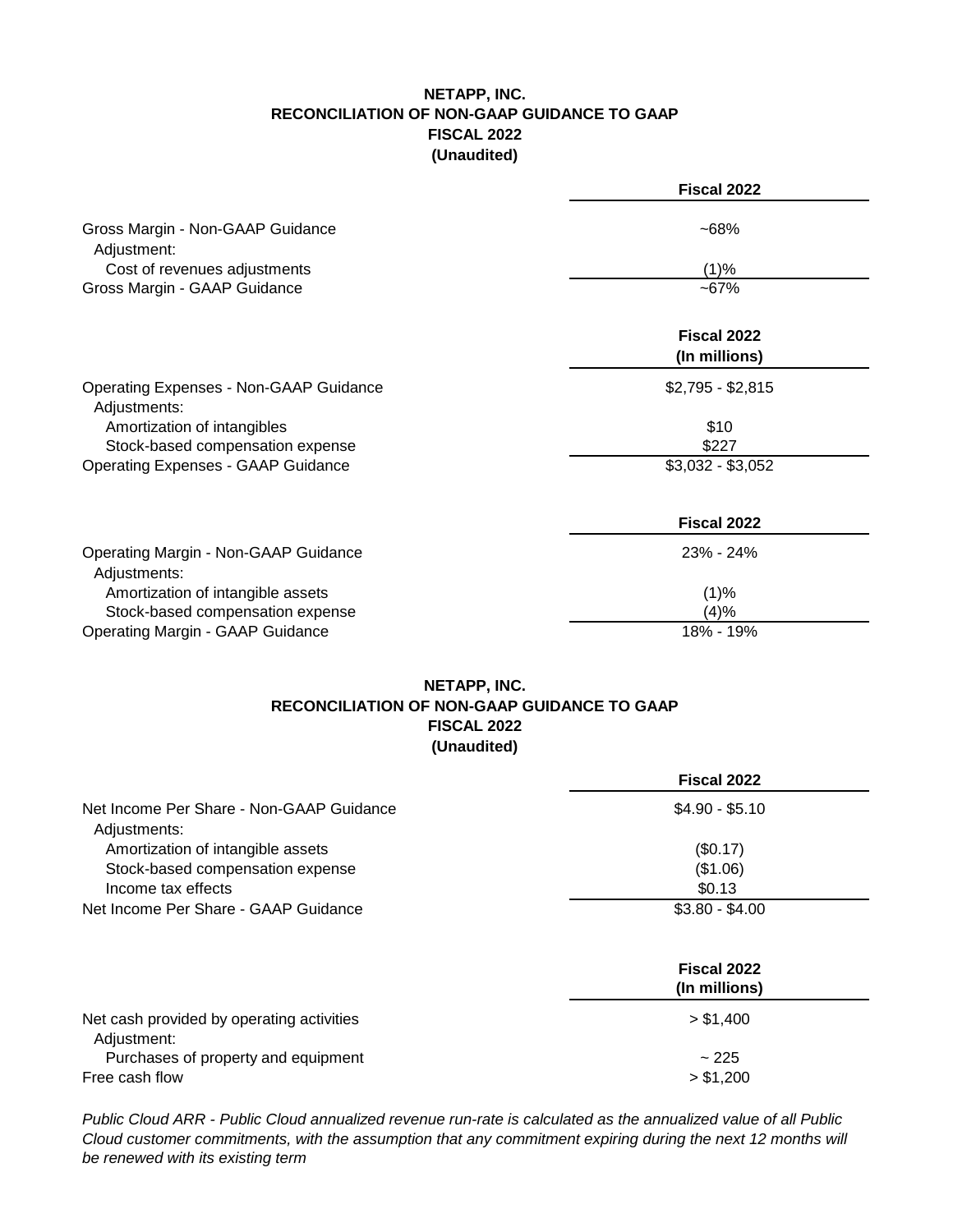# **NETAPP, INC. RECONCILIATION OF NON-GAAP GUIDANCE TO GAAP FISCAL 2022 (Unaudited)**

|                                                               | Fiscal 2022                  |
|---------------------------------------------------------------|------------------------------|
| Gross Margin - Non-GAAP Guidance<br>Adjustment:               | $-68%$                       |
| Cost of revenues adjustments                                  | (1)%                         |
| Gross Margin - GAAP Guidance                                  | $-67%$                       |
|                                                               | Fiscal 2022<br>(In millions) |
| <b>Operating Expenses - Non-GAAP Guidance</b><br>Adjustments: | $$2,795 - $2,815$            |
| Amortization of intangibles                                   | \$10                         |
| Stock-based compensation expense                              | \$227                        |
| <b>Operating Expenses - GAAP Guidance</b>                     | $$3,032 - $3,052$            |
|                                                               | Fiscal 2022                  |
| Operating Margin - Non-GAAP Guidance<br>Adjustments:          | 23% - 24%                    |
| Amortization of intangible assets                             | (1)%                         |
| Stock-based compensation expense                              | (4)%                         |
| <b>Operating Margin - GAAP Guidance</b>                       | 18% - 19%                    |

#### **NETAPP, INC.**

### **RECONCILIATION OF NON-GAAP GUIDANCE TO GAAP**

**FISCAL 2022 (Unaudited)**

|                                                   | Fiscal 2022                  |
|---------------------------------------------------|------------------------------|
| Net Income Per Share - Non-GAAP Guidance          | $$4.90 - $5.10$              |
| Adjustments:<br>Amortization of intangible assets | (\$0.17)                     |
| Stock-based compensation expense                  | (\$1.06)                     |
| Income tax effects                                | \$0.13                       |
| Net Income Per Share - GAAP Guidance              | $$3.80 - $4.00$              |
|                                                   | Fiscal 2022<br>(In millions) |
| Net cash provided by operating activities         | > \$1,400                    |

Adjustment: Purchases of property and equipment **Figure 225** Free cash flow  $> $1,200$ 

*Public Cloud ARR - Public Cloud annualized revenue run-rate is calculated as the annualized value of all Public Cloud customer commitments, with the assumption that any commitment expiring during the next 12 months will be renewed with its existing term*